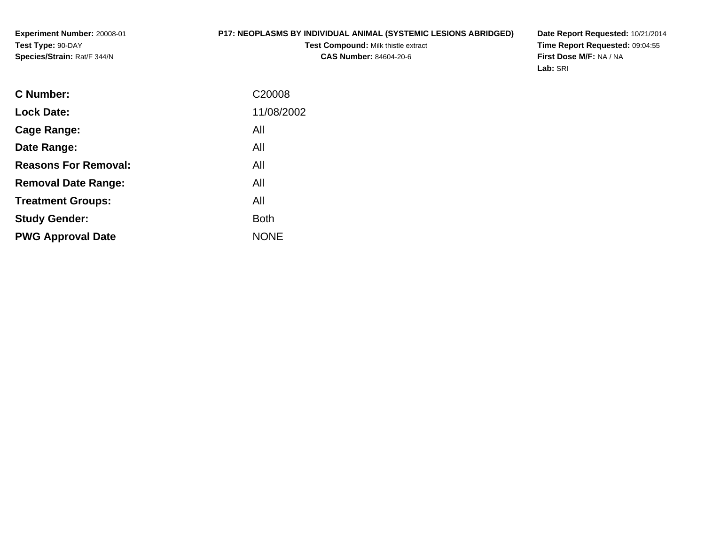# **P17: NEOPLASMS BY INDIVIDUAL ANIMAL (SYSTEMIC LESIONS ABRIDGED)**

**Test Compound:** Milk thistle extract**CAS Number:** 84604-20-6

**Date Report Requested:** 10/21/2014 **Time Report Requested:** 09:04:55**First Dose M/F:** NA / NA**Lab:** SRI

| <b>Lock Date:</b><br>All<br>Cage Range:<br>All<br>Date Range:<br><b>Reasons For Removal:</b><br>All<br>All<br><b>Removal Date Range:</b><br>All<br><b>Treatment Groups:</b><br><b>Both</b><br><b>Study Gender:</b><br><b>NONE</b><br><b>PWG Approval Date</b> | <b>C</b> Number: | C <sub>20008</sub> |
|---------------------------------------------------------------------------------------------------------------------------------------------------------------------------------------------------------------------------------------------------------------|------------------|--------------------|
|                                                                                                                                                                                                                                                               |                  | 11/08/2002         |
|                                                                                                                                                                                                                                                               |                  |                    |
|                                                                                                                                                                                                                                                               |                  |                    |
|                                                                                                                                                                                                                                                               |                  |                    |
|                                                                                                                                                                                                                                                               |                  |                    |
|                                                                                                                                                                                                                                                               |                  |                    |
|                                                                                                                                                                                                                                                               |                  |                    |
|                                                                                                                                                                                                                                                               |                  |                    |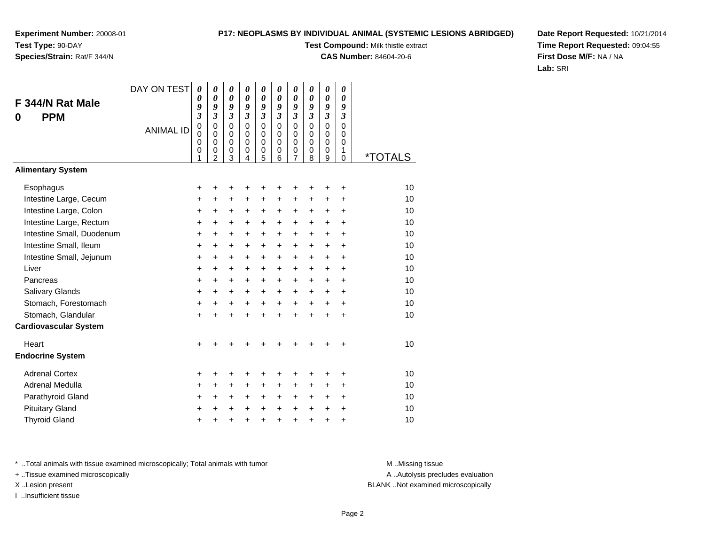# **P17: NEOPLASMS BY INDIVIDUAL ANIMAL (SYSTEMIC LESIONS ABRIDGED)**

**Test Compound:** Milk thistle extract

**CAS Number:** 84604-20-6

**Date Report Requested:** 10/21/2014**Time Report Requested:** 09:04:55**First Dose M/F:** NA / NA**Lab:** SRI

| F 344/N Rat Male             | DAY ON TEST      | $\boldsymbol{\theta}$<br>0<br>9        | $\boldsymbol{\theta}$<br>$\boldsymbol{\theta}$<br>9         | 0<br>$\boldsymbol{\theta}$<br>9            | 0<br>$\theta$<br>9                      | 0<br>0<br>9                                    | 0<br>$\boldsymbol{\theta}$<br>9 | $\boldsymbol{\theta}$<br>0<br>9           | 0<br>$\boldsymbol{\theta}$<br>9        | $\pmb{\theta}$<br>0<br>9                    | 0<br>0<br>9                       |                       |
|------------------------------|------------------|----------------------------------------|-------------------------------------------------------------|--------------------------------------------|-----------------------------------------|------------------------------------------------|---------------------------------|-------------------------------------------|----------------------------------------|---------------------------------------------|-----------------------------------|-----------------------|
| <b>PPM</b><br>0              | <b>ANIMAL ID</b> | $\overline{\mathbf{3}}$<br>$\mathbf 0$ | $\mathfrak{z}$<br>$\mathbf 0$                               | $\mathfrak{z}$<br>$\mathbf 0$              | $\boldsymbol{\mathfrak{z}}$<br>$\Omega$ | $\boldsymbol{\mathfrak{z}}$<br>$\mathbf 0$     | $\mathfrak{z}$<br>$\mathbf 0$   | $\overline{\mathbf{3}}$<br>$\overline{0}$ | $\overline{\mathbf{3}}$<br>$\mathbf 0$ | $\overline{\mathbf{3}}$<br>$\overline{0}$   | $\mathfrak{z}$<br>$\overline{0}$  |                       |
|                              |                  | $\mathbf 0$<br>$\mathbf 0$<br>0<br>1   | $\mathbf 0$<br>$\mathbf 0$<br>$\mathbf 0$<br>$\overline{2}$ | $\mathbf 0$<br>$\pmb{0}$<br>$\pmb{0}$<br>3 | $\Omega$<br>$\Omega$<br>0<br>4          | $\mathbf 0$<br>$\mathbf 0$<br>$\mathbf 0$<br>5 | $\Omega$<br>$\Omega$<br>0<br>6  | $\mathbf 0$<br>$\mathbf 0$<br>0<br>7      | $\Omega$<br>$\Omega$<br>0<br>8         | $\Omega$<br>$\mathbf 0$<br>$\mathbf 0$<br>9 | $\Omega$<br>$\mathbf 0$<br>1<br>0 | <i><b>*TOTALS</b></i> |
| <b>Alimentary System</b>     |                  |                                        |                                                             |                                            |                                         |                                                |                                 |                                           |                                        |                                             |                                   |                       |
| Esophagus                    |                  | +                                      |                                                             | +                                          | +                                       | +                                              | +                               |                                           |                                        | +                                           | ٠                                 | 10                    |
| Intestine Large, Cecum       |                  | $\ddot{}$                              | $\ddot{}$                                                   | $\ddot{}$                                  | $\ddot{}$                               | $\ddot{}$                                      | $\ddot{}$                       | +                                         | +                                      | +                                           | $\ddot{}$                         | 10                    |
| Intestine Large, Colon       |                  | $\ddot{}$                              | $\ddot{}$                                                   | $\ddot{}$                                  | +                                       | +                                              | +                               | $\pm$                                     | $\pm$                                  | $\ddot{}$                                   | $\ddot{}$                         | 10                    |
| Intestine Large, Rectum      |                  | +                                      | $\ddot{}$                                                   | $\ddot{}$                                  | $\ddot{}$                               | +                                              | $\ddot{}$                       | +                                         | $\pm$                                  | $\ddot{}$                                   | $\ddot{}$                         | 10                    |
| Intestine Small, Duodenum    |                  | $\ddot{}$                              | $\ddot{}$                                                   | $\ddot{}$                                  | $\ddot{}$                               | $\ddot{}$                                      | $\ddot{}$                       | $\ddot{}$                                 | $\ddot{}$                              | $+$                                         | $\ddot{}$                         | 10                    |
| Intestine Small, Ileum       |                  | $\ddot{}$                              | $\ddot{}$                                                   | +                                          | +                                       | +                                              | +                               | +                                         | $\pm$                                  | $\ddot{}$                                   | +                                 | 10                    |
| Intestine Small, Jejunum     |                  | $\ddot{}$                              | $\ddot{}$                                                   | $\ddot{}$                                  | $\ddot{}$                               | $\ddot{}$                                      | $\ddot{}$                       | $\ddot{}$                                 | $\ddot{}$                              | $\ddot{}$                                   | $\ddot{}$                         | 10                    |
| Liver                        |                  | $\ddot{}$                              | $\ddot{}$                                                   | $\ddot{}$                                  | $\ddot{}$                               | +                                              | $\ddot{}$                       | $\ddot{}$                                 | +                                      | $\ddot{}$                                   | +                                 | 10                    |
| Pancreas                     |                  | $\ddot{}$                              | $+$                                                         | $\ddot{}$                                  | $\ddot{}$                               | $\ddot{}$                                      | $\ddot{}$                       | $\ddot{}$                                 | $\ddot{}$                              | $+$                                         | $\ddot{}$                         | 10                    |
| Salivary Glands              |                  | $\ddot{}$                              | +                                                           | $\ddot{}$                                  | $\ddot{}$                               | +                                              | $\ddot{}$                       | $\pm$                                     | $\pm$                                  | $\ddot{}$                                   | $\ddot{}$                         | 10                    |
| Stomach, Forestomach         |                  | $\ddot{}$                              | $\ddot{}$                                                   | $\ddot{}$                                  | $\ddot{}$                               | $\ddot{}$                                      | $\ddot{}$                       | $\ddot{}$                                 | $+$                                    | $\ddot{}$                                   | $\ddot{}$                         | 10                    |
| Stomach, Glandular           |                  | $\ddot{}$                              | $\ddot{}$                                                   | $\ddot{}$                                  | $\ddot{}$                               | $\ddot{}$                                      | $\ddot{}$                       | $+$                                       | $\ddot{}$                              | $\ddot{}$                                   | $\ddot{}$                         | 10                    |
| <b>Cardiovascular System</b> |                  |                                        |                                                             |                                            |                                         |                                                |                                 |                                           |                                        |                                             |                                   |                       |
| Heart                        |                  | $\ddot{}$                              |                                                             |                                            |                                         |                                                |                                 |                                           |                                        |                                             |                                   | 10                    |
| <b>Endocrine System</b>      |                  |                                        |                                                             |                                            |                                         |                                                |                                 |                                           |                                        |                                             |                                   |                       |
| <b>Adrenal Cortex</b>        |                  | +                                      | +                                                           | +                                          | +                                       | +                                              | +                               | +                                         | ٠                                      | ٠                                           | ÷                                 | 10                    |
| Adrenal Medulla              |                  | $\ddot{}$                              | +                                                           | $\ddot{}$                                  | +                                       | +                                              | $\ddot{}$                       | $\pm$                                     | $\pm$                                  | $\pm$                                       | $\ddot{}$                         | 10                    |
| Parathyroid Gland            |                  | +                                      | $\ddot{}$                                                   | $\ddot{}$                                  | $\ddot{}$                               | $\ddot{}$                                      | $\ddot{}$                       | +                                         | $\pm$                                  | $\ddot{}$                                   | $\ddot{}$                         | 10                    |
| <b>Pituitary Gland</b>       |                  | +                                      |                                                             | $\pm$                                      | +                                       | +                                              | $\ddot{}$                       | $\ddot{}$                                 | $\ddot{}$                              | $\ddot{}$                                   | $\ddot{}$                         | 10                    |
| <b>Thyroid Gland</b>         |                  | $\pmb{+}$                              |                                                             | +                                          | $\ddot{}$                               | $\ddot{}$                                      | $\ddot{}$                       | $\ddot{}$                                 | $\ddot{}$                              | $\ddot{}$                                   | $\ddot{}$                         | 10                    |

\* ..Total animals with tissue examined microscopically; Total animals with tumor **M** . Missing tissue M ..Missing tissue

+ ..Tissue examined microscopically

I ..Insufficient tissue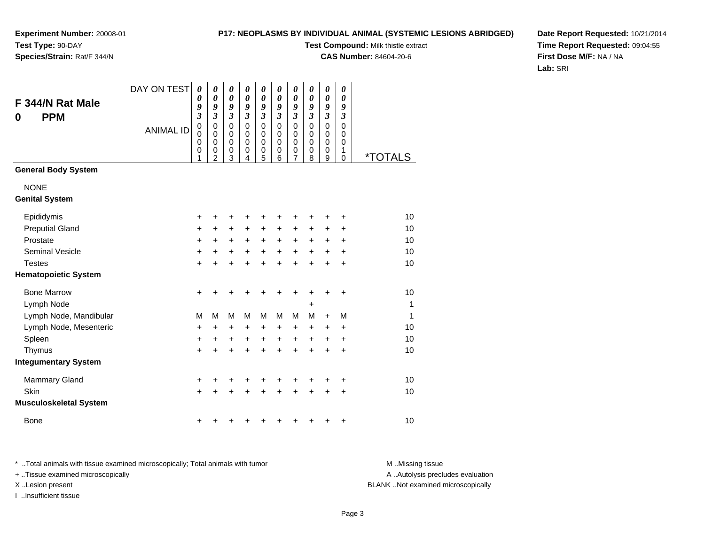# **P17: NEOPLASMS BY INDIVIDUAL ANIMAL (SYSTEMIC LESIONS ABRIDGED)**

**Test Compound:** Milk thistle extract

**CAS Number:** 84604-20-6

**Date Report Requested:** 10/21/2014**Time Report Requested:** 09:04:55**First Dose M/F:** NA / NA**Lab:** SRI

| F 344/N Rat Male<br><b>PPM</b><br>0  | DAY ON TEST      | 0<br>0<br>9<br>$\overline{\mathbf{3}}$ | 0<br>0<br>9<br>3                             | 0<br>$\boldsymbol{\theta}$<br>9<br>$\boldsymbol{\mathfrak{z}}$ | 0<br>$\boldsymbol{\theta}$<br>9<br>$\boldsymbol{\mathfrak{z}}$ | $\boldsymbol{\theta}$<br>$\boldsymbol{\theta}$<br>9<br>$\mathfrak{z}$ | 0<br>$\boldsymbol{\theta}$<br>9<br>$\mathfrak{z}$ | 0<br>$\boldsymbol{\theta}$<br>9<br>$\boldsymbol{\beta}$          | 0<br>0<br>9<br>$\boldsymbol{\mathfrak{z}}$ | 0<br>0<br>9<br>$\mathfrak{z}$                     | 0<br>0<br>9<br>$\mathfrak{z}$ |              |
|--------------------------------------|------------------|----------------------------------------|----------------------------------------------|----------------------------------------------------------------|----------------------------------------------------------------|-----------------------------------------------------------------------|---------------------------------------------------|------------------------------------------------------------------|--------------------------------------------|---------------------------------------------------|-------------------------------|--------------|
|                                      | <b>ANIMAL ID</b> | 0<br>$\mathbf 0$<br>0<br>0<br>1        | 0<br>$\mathbf 0$<br>0<br>0<br>$\overline{2}$ | $\mathbf 0$<br>$\mathbf 0$<br>0<br>0<br>3                      | $\mathbf 0$<br>$\mathbf 0$<br>0<br>0<br>4                      | $\mathbf 0$<br>$\mathbf 0$<br>$\mathbf 0$<br>0<br>5                   | $\mathbf 0$<br>$\mathbf 0$<br>0<br>0<br>6         | $\mathbf 0$<br>$\mathbf 0$<br>$\mathbf 0$<br>0<br>$\overline{7}$ | $\mathbf 0$<br>$\mathbf 0$<br>0<br>0<br>8  | $\mathbf 0$<br>$\mathbf 0$<br>$\pmb{0}$<br>0<br>9 | 0<br>0<br>0<br>1<br>0         | *TOTALS      |
| <b>General Body System</b>           |                  |                                        |                                              |                                                                |                                                                |                                                                       |                                                   |                                                                  |                                            |                                                   |                               |              |
| <b>NONE</b><br><b>Genital System</b> |                  |                                        |                                              |                                                                |                                                                |                                                                       |                                                   |                                                                  |                                            |                                                   |                               |              |
| Epididymis                           |                  | +                                      | +                                            | +                                                              | +                                                              | +                                                                     |                                                   | +                                                                |                                            | +                                                 | +                             | 10           |
| <b>Preputial Gland</b>               |                  | +                                      | +                                            | +                                                              | +                                                              | $\ddot{}$                                                             | +                                                 | +                                                                | +                                          | +                                                 | +                             | 10           |
| Prostate                             |                  | +                                      | $\ddot{}$                                    | +                                                              | +                                                              | $\ddot{}$                                                             | $\ddot{}$                                         | $\ddot{}$                                                        | +                                          | $\ddot{}$                                         | $\ddot{}$                     | 10           |
| <b>Seminal Vesicle</b>               |                  | +                                      | $\pm$                                        | +                                                              | +                                                              | $\ddot{}$                                                             | $\ddot{}$                                         | $\ddot{}$                                                        | $\ddot{}$                                  | +                                                 | +                             | 10           |
| <b>Testes</b>                        |                  | $\ddot{}$                              |                                              | +                                                              | +                                                              | $\ddot{}$                                                             |                                                   | $\ddot{}$                                                        |                                            | $\ddot{}$                                         | $\ddot{}$                     | 10           |
| <b>Hematopoietic System</b>          |                  |                                        |                                              |                                                                |                                                                |                                                                       |                                                   |                                                                  |                                            |                                                   |                               |              |
| <b>Bone Marrow</b>                   |                  | +                                      | +                                            | +                                                              | +                                                              | +                                                                     | +                                                 | +                                                                | +                                          | +                                                 | +                             | 10           |
| Lymph Node                           |                  |                                        |                                              |                                                                |                                                                |                                                                       |                                                   |                                                                  | +                                          |                                                   |                               | $\mathbf{1}$ |
| Lymph Node, Mandibular               |                  | M                                      | M                                            | М                                                              | М                                                              | M                                                                     | м                                                 | M                                                                | М                                          | $+$                                               | М                             | $\mathbf{1}$ |
| Lymph Node, Mesenteric               |                  | +                                      | +                                            | +                                                              | +                                                              | $\ddot{}$                                                             | +                                                 | +                                                                | +                                          | +                                                 | +                             | 10           |
| Spleen                               |                  | +                                      | +                                            | +                                                              | +                                                              | $\ddot{}$                                                             | +                                                 | $\ddot{}$                                                        | +                                          | +                                                 | +                             | 10           |
| Thymus                               |                  | +                                      | $\ddot{}$                                    | +                                                              | +                                                              | +                                                                     |                                                   | $\ddot{}$                                                        | ÷                                          | $\ddot{}$                                         | $\ddot{}$                     | 10           |
| <b>Integumentary System</b>          |                  |                                        |                                              |                                                                |                                                                |                                                                       |                                                   |                                                                  |                                            |                                                   |                               |              |
| Mammary Gland                        |                  | +                                      | +                                            | +                                                              | +                                                              | +                                                                     | +                                                 | +                                                                | +                                          | +                                                 | +                             | 10           |
| Skin                                 |                  | $\ddot{}$                              |                                              | $\ddot{}$                                                      |                                                                |                                                                       |                                                   |                                                                  |                                            | +                                                 | $\ddot{}$                     | 10           |
| <b>Musculoskeletal System</b>        |                  |                                        |                                              |                                                                |                                                                |                                                                       |                                                   |                                                                  |                                            |                                                   |                               |              |
| <b>Bone</b>                          |                  | +                                      |                                              |                                                                |                                                                |                                                                       |                                                   |                                                                  |                                            | +                                                 | +                             | 10           |

\* ..Total animals with tissue examined microscopically; Total animals with tumor **M** . Missing tissue M ..Missing tissue

+ ..Tissue examined microscopically

I ..Insufficient tissue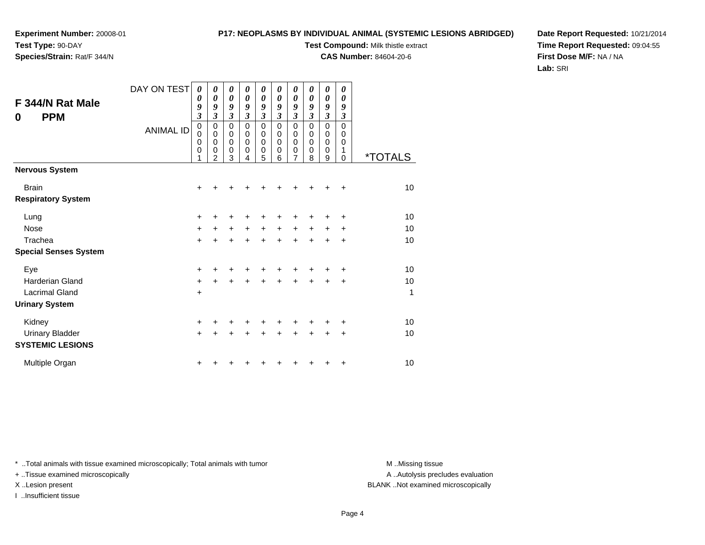# **P17: NEOPLASMS BY INDIVIDUAL ANIMAL (SYSTEMIC LESIONS ABRIDGED)**

**Test Compound:** Milk thistle extract

**CAS Number:** 84604-20-6

**Date Report Requested:** 10/21/2014**Time Report Requested:** 09:04:55**First Dose M/F:** NA / NA**Lab:** SRI

| F 344/N Rat Male<br><b>PPM</b><br>$\bf{0}$        | DAY ON TEST<br><b>ANIMAL ID</b> | 0<br>0<br>9<br>$\mathfrak{z}$<br>$\mathbf 0$<br>0<br>$\mathbf 0$<br>$\mathbf 0$<br>1 | 0<br>$\boldsymbol{\theta}$<br>9<br>3<br>0<br>$\mathbf 0$<br>$\mathbf 0$<br>0<br>$\overline{2}$ | 0<br>0<br>9<br>3<br>0<br>0<br>0<br>0<br>3 | 0<br>0<br>9<br>3<br>0<br>$\mathbf 0$<br>0<br>0<br>4 | 0<br>0<br>9<br>3<br>0<br>0<br>0<br>0<br>5 | 0<br>$\boldsymbol{\theta}$<br>9<br>3<br>$\mathbf 0$<br>0<br>$\mathbf 0$<br>0<br>6 | 0<br>$\boldsymbol{\theta}$<br>9<br>$\mathfrak{z}$<br>$\pmb{0}$<br>0<br>$\mathbf 0$<br>$\mathbf 0$<br>7 | 0<br>$\boldsymbol{\theta}$<br>9<br>$\boldsymbol{\beta}$<br>$\mathbf 0$<br>0<br>$\mathbf 0$<br>0<br>8 | 0<br>$\boldsymbol{\theta}$<br>9<br>$\overline{\mathbf{3}}$<br>0<br>0<br>0<br>0<br>9 | 0<br>$\boldsymbol{\theta}$<br>9<br>3<br>0<br>0<br>$\mathbf 0$<br>1<br>0 | <i><b>*TOTALS</b></i> |
|---------------------------------------------------|---------------------------------|--------------------------------------------------------------------------------------|------------------------------------------------------------------------------------------------|-------------------------------------------|-----------------------------------------------------|-------------------------------------------|-----------------------------------------------------------------------------------|--------------------------------------------------------------------------------------------------------|------------------------------------------------------------------------------------------------------|-------------------------------------------------------------------------------------|-------------------------------------------------------------------------|-----------------------|
| <b>Nervous System</b>                             |                                 |                                                                                      |                                                                                                |                                           |                                                     |                                           |                                                                                   |                                                                                                        |                                                                                                      |                                                                                     |                                                                         |                       |
| <b>Brain</b><br><b>Respiratory System</b>         |                                 | +                                                                                    |                                                                                                |                                           |                                                     |                                           |                                                                                   |                                                                                                        |                                                                                                      |                                                                                     | +                                                                       | 10                    |
| Lung                                              |                                 | $\pm$                                                                                |                                                                                                | +                                         | +                                                   | +                                         |                                                                                   |                                                                                                        |                                                                                                      |                                                                                     | +                                                                       | 10                    |
| <b>Nose</b>                                       |                                 | $\ddot{}$                                                                            | $\pm$                                                                                          | $\ddot{}$                                 | $\ddot{}$                                           | $\ddot{}$                                 | $\ddot{}$                                                                         | $+$                                                                                                    | $\ddot{}$                                                                                            | $\ddot{}$                                                                           | +                                                                       | 10                    |
| Trachea<br><b>Special Senses System</b>           |                                 | $\ddot{}$                                                                            |                                                                                                | $\ddot{}$                                 | $\ddot{}$                                           | $\ddot{}$                                 | $\ddot{}$                                                                         | $+$                                                                                                    | $\ddot{}$                                                                                            | $\ddot{}$                                                                           | $\ddot{}$                                                               | 10                    |
| Eye                                               |                                 | $\ddot{}$                                                                            |                                                                                                |                                           |                                                     |                                           |                                                                                   |                                                                                                        |                                                                                                      |                                                                                     | +                                                                       | 10                    |
| <b>Harderian Gland</b>                            |                                 | $\ddot{}$                                                                            |                                                                                                | +                                         |                                                     |                                           |                                                                                   |                                                                                                        |                                                                                                      | +                                                                                   | +                                                                       | 10                    |
| <b>Lacrimal Gland</b>                             |                                 | +                                                                                    |                                                                                                |                                           |                                                     |                                           |                                                                                   |                                                                                                        |                                                                                                      |                                                                                     |                                                                         | 1                     |
| <b>Urinary System</b>                             |                                 |                                                                                      |                                                                                                |                                           |                                                     |                                           |                                                                                   |                                                                                                        |                                                                                                      |                                                                                     |                                                                         |                       |
| Kidney                                            |                                 | +                                                                                    |                                                                                                |                                           |                                                     | ٠                                         |                                                                                   |                                                                                                        |                                                                                                      |                                                                                     | +                                                                       | 10                    |
| <b>Urinary Bladder</b><br><b>SYSTEMIC LESIONS</b> |                                 | $\ddot{}$                                                                            | +                                                                                              | +                                         | $\div$                                              | $\ddot{}$                                 | $\ddot{}$                                                                         | $\ddot{}$                                                                                              | $\ddot{}$                                                                                            | ٠                                                                                   | ٠                                                                       | 10                    |
| Multiple Organ                                    |                                 | +                                                                                    |                                                                                                |                                           |                                                     |                                           |                                                                                   |                                                                                                        |                                                                                                      | +                                                                                   | +                                                                       | 10                    |

\* ..Total animals with tissue examined microscopically; Total animals with tumor **M** . Missing tissue M ..Missing tissue

+ ..Tissue examined microscopically

I ..Insufficient tissue

A ..Autolysis precludes evaluation

X ..Lesion present BLANK ..Not examined microscopically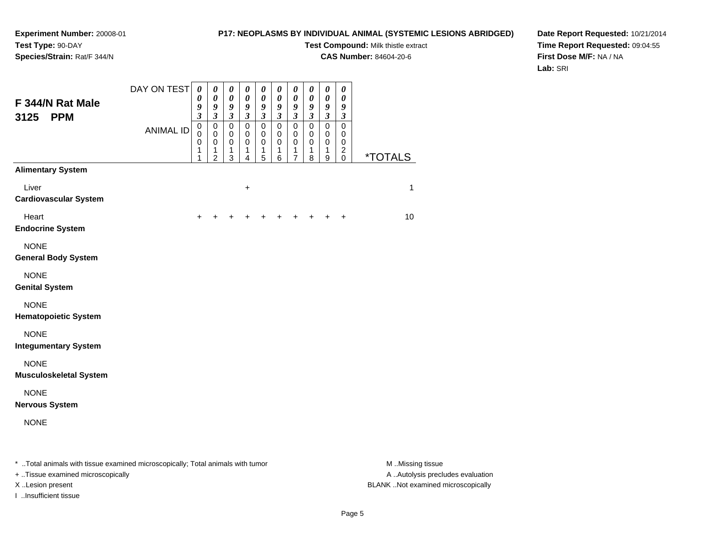# **P17: NEOPLASMS BY INDIVIDUAL ANIMAL (SYSTEMIC LESIONS ABRIDGED)**

**Test Compound:** Milk thistle extract

**CAS Number:** 84604-20-6

**Date Report Requested:** 10/21/2014**Time Report Requested:** 09:04:55**First Dose M/F:** NA / NA**Lab:** SRI

| F 344/N Rat Male<br><b>PPM</b><br>3125                                                                                | DAY ON TEST      | $\boldsymbol{\theta}$<br>0<br>9<br>$\mathfrak{z}$ | 0<br>$\boldsymbol{\theta}$<br>9<br>$\mathfrak{z}$      | $\boldsymbol{\theta}$<br>$\pmb{\theta}$<br>9<br>$\mathfrak{z}$ | 0<br>$\boldsymbol{\theta}$<br>9<br>$\boldsymbol{\beta}$ | 0<br>$\boldsymbol{\theta}$<br>9<br>3 | 0<br>$\pmb{\theta}$<br>$\boldsymbol{9}$<br>$\boldsymbol{\beta}$ | 0<br>$\pmb{\theta}$<br>$\boldsymbol{g}$<br>$\boldsymbol{\beta}$ | 0<br>$\pmb{\theta}$<br>9<br>$\boldsymbol{\beta}$ | 0<br>$\pmb{\theta}$<br>9<br>$\boldsymbol{\mathfrak{z}}$ | 0<br>$\boldsymbol{\theta}$<br>9<br>3         |                                      |
|-----------------------------------------------------------------------------------------------------------------------|------------------|---------------------------------------------------|--------------------------------------------------------|----------------------------------------------------------------|---------------------------------------------------------|--------------------------------------|-----------------------------------------------------------------|-----------------------------------------------------------------|--------------------------------------------------|---------------------------------------------------------|----------------------------------------------|--------------------------------------|
|                                                                                                                       | <b>ANIMAL ID</b> | $\mathbf 0$<br>$\mathbf 0$<br>0<br>1<br>1         | $\mathbf 0$<br>$\mathbf 0$<br>0<br>1<br>$\overline{c}$ | $\mathbf 0$<br>$\pmb{0}$<br>0<br>1<br>$\mathbf{3}$             | $\mathbf 0$<br>0<br>0<br>1<br>4                         | $\mathsf 0$<br>0<br>0<br>1<br>5      | $\pmb{0}$<br>0<br>0<br>1<br>6                                   | $\mathbf 0$<br>$\pmb{0}$<br>0<br>1<br>7                         | $\pmb{0}$<br>0<br>0<br>1<br>8                    | $\mathsf 0$<br>0<br>0<br>1<br>9                         | 0<br>0<br>0<br>$\boldsymbol{2}$<br>$\pmb{0}$ | <i><b>*TOTALS</b></i>                |
| <b>Alimentary System</b>                                                                                              |                  |                                                   |                                                        |                                                                |                                                         |                                      |                                                                 |                                                                 |                                                  |                                                         |                                              |                                      |
| Liver<br><b>Cardiovascular System</b>                                                                                 |                  |                                                   |                                                        |                                                                | $\ddot{}$                                               |                                      |                                                                 |                                                                 |                                                  |                                                         |                                              | 1                                    |
| Heart<br><b>Endocrine System</b>                                                                                      |                  | +                                                 | +                                                      |                                                                | +                                                       | +                                    | +                                                               | $\ddot{}$                                                       | +                                                | $\ddot{}$                                               | +                                            | 10                                   |
| <b>NONE</b><br><b>General Body System</b>                                                                             |                  |                                                   |                                                        |                                                                |                                                         |                                      |                                                                 |                                                                 |                                                  |                                                         |                                              |                                      |
| <b>NONE</b><br><b>Genital System</b>                                                                                  |                  |                                                   |                                                        |                                                                |                                                         |                                      |                                                                 |                                                                 |                                                  |                                                         |                                              |                                      |
| <b>NONE</b><br><b>Hematopoietic System</b>                                                                            |                  |                                                   |                                                        |                                                                |                                                         |                                      |                                                                 |                                                                 |                                                  |                                                         |                                              |                                      |
| <b>NONE</b><br><b>Integumentary System</b>                                                                            |                  |                                                   |                                                        |                                                                |                                                         |                                      |                                                                 |                                                                 |                                                  |                                                         |                                              |                                      |
| <b>NONE</b><br><b>Musculoskeletal System</b>                                                                          |                  |                                                   |                                                        |                                                                |                                                         |                                      |                                                                 |                                                                 |                                                  |                                                         |                                              |                                      |
| <b>NONE</b><br><b>Nervous System</b>                                                                                  |                  |                                                   |                                                        |                                                                |                                                         |                                      |                                                                 |                                                                 |                                                  |                                                         |                                              |                                      |
| <b>NONE</b>                                                                                                           |                  |                                                   |                                                        |                                                                |                                                         |                                      |                                                                 |                                                                 |                                                  |                                                         |                                              |                                      |
| * Total animals with tissue examined microscopically; Total animals with tumor<br>$+$ Tissue examined microscopically |                  |                                                   |                                                        |                                                                |                                                         |                                      |                                                                 |                                                                 |                                                  |                                                         |                                              | M Missing tissue<br>A Autolysis prec |

+ ..Tissue examined microscopically

I ..Insufficient tissue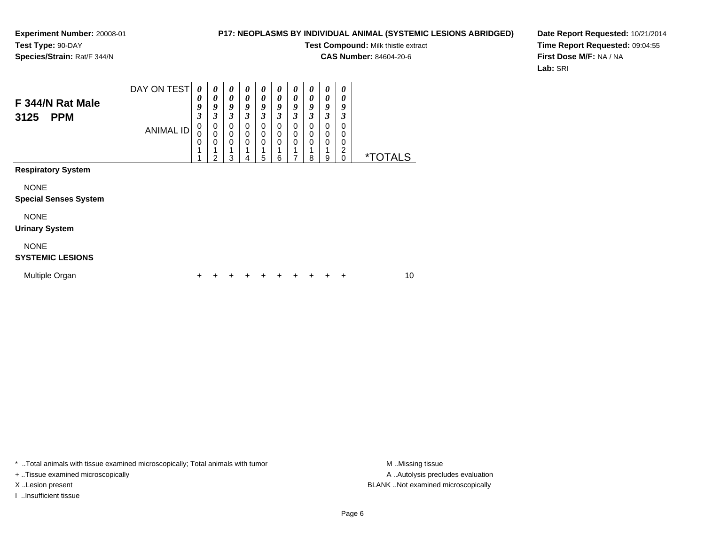### **P17: NEOPLASMS BY INDIVIDUAL ANIMAL (SYSTEMIC LESIONS ABRIDGED)**

**Test Compound:** Milk thistle extract

**CAS Number:** 84604-20-6

 $\overline{\phantom{0}}$ 

**Date Report Requested:** 10/21/2014**Time Report Requested:** 09:04:55**First Dose M/F:** NA / NA**Lab:** SRI

| F 344/N Rat Male<br><b>PPM</b><br>3125                                   | DAY ON TEST<br><b>ANIMAL ID</b> | 0<br>0<br>9<br>$\boldsymbol{\beta}$<br>0<br>0<br>0 | 0<br>0<br>9<br>3<br>0<br>0<br>0<br>$\overline{2}$ | 0<br>0<br>9<br>3<br>0<br>0<br>$\mathbf 0$<br>3 | 0<br>0<br>9<br>3<br>0<br>0<br>$\mathbf 0$<br>4 | 0<br>$\boldsymbol{\theta}$<br>9<br>3<br>0<br>0<br>0<br>5 | 0<br>0<br>9<br>3<br>0<br>0<br>0<br>6 | 0<br>0<br>9<br>3<br>0<br>$\mathbf 0$<br>$\mathbf 0$<br>7 | 0<br>0<br>9<br>3<br>0<br>0<br>0<br>8 | $\boldsymbol{\theta}$<br>$\boldsymbol{\theta}$<br>9<br>3<br>$\pmb{0}$<br>0<br>$\mathbf 0$<br>1<br>9 | 0<br>0<br>9<br>3<br>0<br>0<br>0<br>2<br>0 | <i><b>*TOTALS</b></i> |  |
|--------------------------------------------------------------------------|---------------------------------|----------------------------------------------------|---------------------------------------------------|------------------------------------------------|------------------------------------------------|----------------------------------------------------------|--------------------------------------|----------------------------------------------------------|--------------------------------------|-----------------------------------------------------------------------------------------------------|-------------------------------------------|-----------------------|--|
| <b>Respiratory System</b><br><b>NONE</b><br><b>Special Senses System</b> |                                 |                                                    |                                                   |                                                |                                                |                                                          |                                      |                                                          |                                      |                                                                                                     |                                           |                       |  |
| <b>NONE</b><br><b>Urinary System</b>                                     |                                 |                                                    |                                                   |                                                |                                                |                                                          |                                      |                                                          |                                      |                                                                                                     |                                           |                       |  |
| <b>NONE</b><br><b>SYSTEMIC LESIONS</b>                                   |                                 |                                                    |                                                   |                                                |                                                |                                                          |                                      |                                                          |                                      |                                                                                                     |                                           |                       |  |
| Multiple Organ                                                           |                                 | +                                                  |                                                   |                                                |                                                | ٠                                                        | +                                    | ٠                                                        |                                      |                                                                                                     | ٠                                         | 10                    |  |

\* ..Total animals with tissue examined microscopically; Total animals with tumor **M** . Missing tissue M ..Missing tissue

+ ..Tissue examined microscopically

I ..Insufficient tissue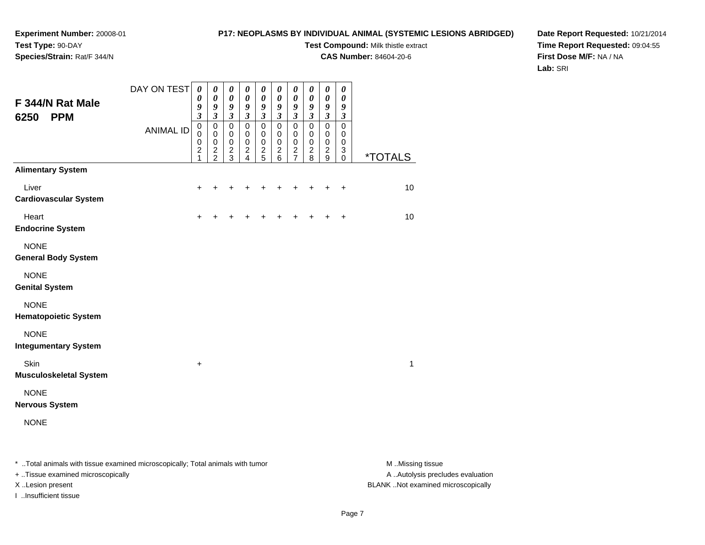# **P17: NEOPLASMS BY INDIVIDUAL ANIMAL (SYSTEMIC LESIONS ABRIDGED)**

**Test Compound:** Milk thistle extract

**CAS Number:** 84604-20-6

**Date Report Requested:** 10/21/2014**Time Report Requested:** 09:04:55**First Dose M/F:** NA / NA**Lab:** SRI

| F 344/N Rat Male<br><b>PPM</b><br>6250     | DAY ON TEST      | $\boldsymbol{\theta}$<br>$\boldsymbol{\theta}$<br>9<br>$\mathfrak{z}$ | 0<br>$\boldsymbol{\theta}$<br>9<br>$\mathfrak{z}$          | 0<br>$\boldsymbol{\theta}$<br>$\boldsymbol{g}$<br>$\mathfrak{z}$ | 0<br>$\pmb{\theta}$<br>$\boldsymbol{9}$<br>$\mathfrak{z}$  | $\boldsymbol{\theta}$<br>$\pmb{\theta}$<br>$\boldsymbol{9}$<br>$\mathfrak{z}$ | 0<br>$\pmb{\theta}$<br>$\boldsymbol{g}$<br>$\boldsymbol{\beta}$ | 0<br>$\pmb{\theta}$<br>$\boldsymbol{g}$<br>$\mathfrak{z}$ | 0<br>$\pmb{\theta}$<br>9<br>$\mathfrak{z}$ | $\boldsymbol{\theta}$<br>$\pmb{\theta}$<br>9<br>$\mathfrak{z}$ | 0<br>$\boldsymbol{\theta}$<br>9<br>$\mathfrak{z}$ |                       |
|--------------------------------------------|------------------|-----------------------------------------------------------------------|------------------------------------------------------------|------------------------------------------------------------------|------------------------------------------------------------|-------------------------------------------------------------------------------|-----------------------------------------------------------------|-----------------------------------------------------------|--------------------------------------------|----------------------------------------------------------------|---------------------------------------------------|-----------------------|
|                                            | <b>ANIMAL ID</b> | $\mathbf 0$<br>$\mathbf 0$<br>0<br>$\boldsymbol{2}$<br>1              | $\mathbf 0$<br>$\mathbf 0$<br>$\mathbf 0$<br>$\frac{2}{2}$ | $\pmb{0}$<br>$\pmb{0}$<br>$\pmb{0}$<br>$\frac{2}{3}$             | $\mathsf 0$<br>$\mathbf 0$<br>$\mathbf 0$<br>$\frac{2}{4}$ | $\pmb{0}$<br>$\mathbf 0$<br>$\mathbf 0$<br>$\frac{2}{5}$                      | $\pmb{0}$<br>$\pmb{0}$<br>$\pmb{0}$<br>$^2$ 6                   | $\pmb{0}$<br>$\pmb{0}$<br>$\pmb{0}$<br>$\frac{2}{7}$      | $\pmb{0}$<br>0<br>0<br>$\frac{2}{8}$       | $\pmb{0}$<br>$\mathbf 0$<br>$\mathbf 0$<br>$\frac{2}{9}$       | $\mathbf 0$<br>0<br>0<br>3<br>$\Omega$            | <i><b>*TOTALS</b></i> |
| <b>Alimentary System</b>                   |                  |                                                                       |                                                            |                                                                  |                                                            |                                                                               |                                                                 |                                                           |                                            |                                                                |                                                   |                       |
| Liver<br><b>Cardiovascular System</b>      |                  | ٠                                                                     |                                                            | ٠                                                                | +                                                          | ٠                                                                             |                                                                 | ٠                                                         | +                                          | +                                                              | $\ddot{}$                                         | 10                    |
| Heart<br><b>Endocrine System</b>           |                  | $\ddot{}$                                                             |                                                            |                                                                  | +                                                          | +                                                                             | +                                                               | +                                                         | +                                          | $\ddot{}$                                                      | $\ddot{}$                                         | 10                    |
| <b>NONE</b><br><b>General Body System</b>  |                  |                                                                       |                                                            |                                                                  |                                                            |                                                                               |                                                                 |                                                           |                                            |                                                                |                                                   |                       |
| <b>NONE</b><br><b>Genital System</b>       |                  |                                                                       |                                                            |                                                                  |                                                            |                                                                               |                                                                 |                                                           |                                            |                                                                |                                                   |                       |
| <b>NONE</b><br><b>Hematopoietic System</b> |                  |                                                                       |                                                            |                                                                  |                                                            |                                                                               |                                                                 |                                                           |                                            |                                                                |                                                   |                       |
| <b>NONE</b><br><b>Integumentary System</b> |                  |                                                                       |                                                            |                                                                  |                                                            |                                                                               |                                                                 |                                                           |                                            |                                                                |                                                   |                       |
| Skin<br><b>Musculoskeletal System</b>      |                  | $\ddot{}$                                                             |                                                            |                                                                  |                                                            |                                                                               |                                                                 |                                                           |                                            |                                                                |                                                   | $\mathbf{1}$          |
| <b>NONE</b><br><b>Nervous System</b>       |                  |                                                                       |                                                            |                                                                  |                                                            |                                                                               |                                                                 |                                                           |                                            |                                                                |                                                   |                       |
| <b>NONE</b>                                |                  |                                                                       |                                                            |                                                                  |                                                            |                                                                               |                                                                 |                                                           |                                            |                                                                |                                                   |                       |
|                                            |                  |                                                                       |                                                            |                                                                  |                                                            |                                                                               |                                                                 |                                                           |                                            |                                                                |                                                   |                       |

\* ..Total animals with tissue examined microscopically; Total animals with tumor **M** . Missing tissue M ..Missing tissue

+ ..Tissue examined microscopically

I ..Insufficient tissue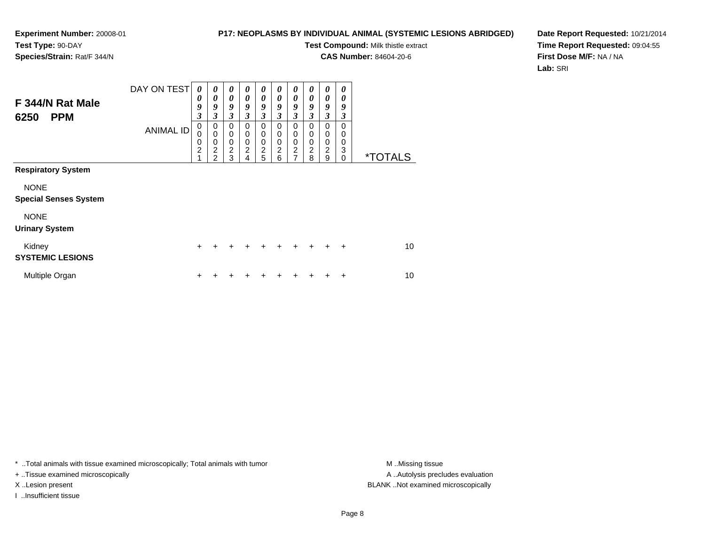# **P17: NEOPLASMS BY INDIVIDUAL ANIMAL (SYSTEMIC LESIONS ABRIDGED)**

**Test Compound:** Milk thistle extract

**CAS Number:** 84604-20-6

**Date Report Requested:** 10/21/2014**Time Report Requested:** 09:04:55**First Dose M/F:** NA / NA**Lab:** SRI

| F 344/N Rat Male<br><b>PPM</b><br>6250      | DAY ON TEST      | 0<br>0<br>9<br>$\overline{\mathbf{3}}$ | $\boldsymbol{\theta}$<br>$\boldsymbol{\theta}$<br>9<br>3                     | $\boldsymbol{\theta}$<br>$\boldsymbol{\theta}$<br>9<br>$\mathfrak{z}$ | 0<br>$\theta$<br>9<br>3                      | $\boldsymbol{\theta}$<br>$\boldsymbol{\theta}$<br>9<br>$\boldsymbol{\beta}$ | 0<br>$\boldsymbol{\theta}$<br>9<br>3                | $\boldsymbol{\theta}$<br>$\boldsymbol{\theta}$<br>9<br>$\mathfrak{z}$ | 0<br>0<br>9<br>3                   | $\boldsymbol{\theta}$<br>0<br>9<br>3         | 0<br>0<br>9<br>3      |                       |
|---------------------------------------------|------------------|----------------------------------------|------------------------------------------------------------------------------|-----------------------------------------------------------------------|----------------------------------------------|-----------------------------------------------------------------------------|-----------------------------------------------------|-----------------------------------------------------------------------|------------------------------------|----------------------------------------------|-----------------------|-----------------------|
|                                             | <b>ANIMAL ID</b> | 0<br>0<br>0<br>$\overline{c}$<br>1     | 0<br>$\mathbf 0$<br>$\mathbf 0$<br>$\overline{\mathbf{c}}$<br>$\mathfrak{p}$ | 0<br>$\mathbf 0$<br>$\mathbf 0$<br>$\boldsymbol{2}$<br>3              | 0<br>$\mathbf 0$<br>0<br>$\overline{c}$<br>4 | 0<br>$\mathbf 0$<br>$\mathbf 0$<br>$\overline{c}$<br>5                      | $\Omega$<br>0<br>$\mathbf 0$<br>$\overline{c}$<br>6 | 0<br>$\mathbf 0$<br>$\mathbf 0$<br>$\overline{c}$<br>$\overline{7}$   | 0<br>0<br>0<br>$\overline{c}$<br>8 | 0<br>0<br>$\mathbf 0$<br>$\overline{c}$<br>9 | 0<br>0<br>0<br>3<br>0 | <i><b>*TOTALS</b></i> |
| <b>Respiratory System</b>                   |                  |                                        |                                                                              |                                                                       |                                              |                                                                             |                                                     |                                                                       |                                    |                                              |                       |                       |
| <b>NONE</b><br><b>Special Senses System</b> |                  |                                        |                                                                              |                                                                       |                                              |                                                                             |                                                     |                                                                       |                                    |                                              |                       |                       |
| <b>NONE</b><br><b>Urinary System</b>        |                  |                                        |                                                                              |                                                                       |                                              |                                                                             |                                                     |                                                                       |                                    |                                              |                       |                       |
| Kidney<br><b>SYSTEMIC LESIONS</b>           |                  | $\ddot{}$                              | $\div$                                                                       | $\ddot{}$                                                             | +                                            | $\pm$                                                                       | ÷                                                   | $\div$                                                                | $\ddot{}$                          | ÷                                            | $\ddot{}$             | 10                    |
| Multiple Organ                              |                  | $\ddot{}$                              |                                                                              |                                                                       |                                              |                                                                             |                                                     |                                                                       |                                    |                                              | +                     | 10                    |

\* ..Total animals with tissue examined microscopically; Total animals with tumor **M** . Missing tissue M ..Missing tissue

+ ..Tissue examined microscopically

I ..Insufficient tissue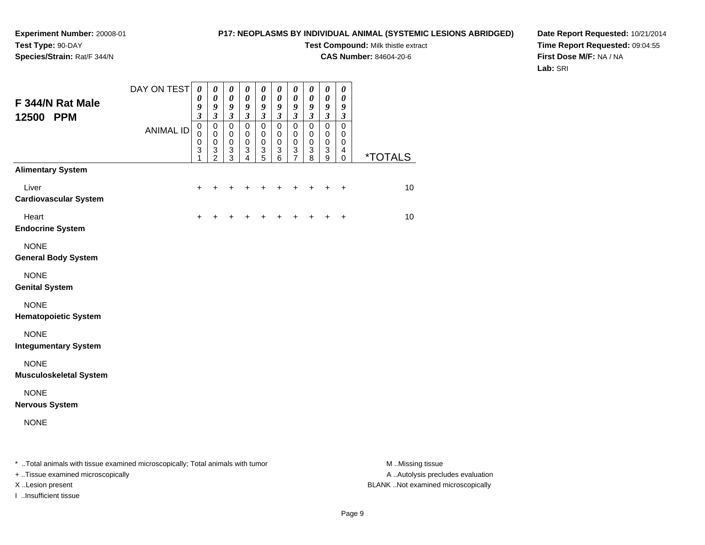# **P17: NEOPLASMS BY INDIVIDUAL ANIMAL (SYSTEMIC LESIONS ABRIDGED)**

**Test Compound:** Milk thistle extract

**CAS Number:** 84604-20-6

**Date Report Requested:** 10/21/2014**Time Report Requested:** 09:04:55**First Dose M/F:** NA / NA**Lab:** SRI

| F 344/N Rat Male<br>12500 PPM                                                  | DAY ON TEST      | 0<br>$\pmb{\theta}$<br>9<br>3 | $\boldsymbol{\theta}$<br>$\pmb{\theta}$<br>$\pmb{9}$<br>$\boldsymbol{\beta}$ | $\boldsymbol{\theta}$<br>$\pmb{\theta}$<br>$\boldsymbol{g}$<br>$\boldsymbol{\beta}$    | $\boldsymbol{\theta}$<br>$\pmb{\theta}$<br>9<br>$\boldsymbol{\beta}$ | 0<br>$\pmb{\theta}$<br>$\boldsymbol{g}$<br>$\boldsymbol{\beta}$       | $\boldsymbol{\theta}$<br>$\boldsymbol{\theta}$<br>$\boldsymbol{9}$<br>$\boldsymbol{\beta}$ | $\boldsymbol{\theta}$<br>$\boldsymbol{\theta}$<br>9<br>$\boldsymbol{\beta}$ | 0<br>$\pmb{\theta}$<br>$\boldsymbol{g}$<br>$\mathfrak{z}$                  | 0<br>$\pmb{\theta}$<br>$\boldsymbol{g}$<br>$\boldsymbol{\beta}$ | 0<br>$\pmb{\theta}$<br>9<br>3 |                       |
|--------------------------------------------------------------------------------|------------------|-------------------------------|------------------------------------------------------------------------------|----------------------------------------------------------------------------------------|----------------------------------------------------------------------|-----------------------------------------------------------------------|--------------------------------------------------------------------------------------------|-----------------------------------------------------------------------------|----------------------------------------------------------------------------|-----------------------------------------------------------------|-------------------------------|-----------------------|
|                                                                                | <b>ANIMAL ID</b> | $\pmb{0}$<br>0<br>0<br>3<br>1 | $\pmb{0}$<br>$\mathbf 0$<br>0<br>$\ensuremath{\mathsf{3}}$<br>$\overline{c}$ | $\pmb{0}$<br>$\mathbf 0$<br>$\mathbf 0$<br>$\ensuremath{\mathsf{3}}$<br>$\overline{3}$ | $\pmb{0}$<br>0<br>0<br>$\ensuremath{\mathsf{3}}$<br>4                | $\pmb{0}$<br>$\pmb{0}$<br>$\pmb{0}$<br>$\ensuremath{\mathsf{3}}$<br>5 | $\mathbf 0$<br>0<br>0<br>$\sqrt{3}$<br>$\,6$                                               | $\mathbf 0$<br>0<br>$\pmb{0}$<br>3<br>7                                     | $\pmb{0}$<br>0<br>$\pmb{0}$<br>$\ensuremath{\mathsf{3}}$<br>$\overline{8}$ | $\pmb{0}$<br>$\mathbf 0$<br>$\mathbf 0$<br>3<br>9               | $\pmb{0}$<br>0<br>0<br>4<br>0 | <i><b>*TOTALS</b></i> |
| <b>Alimentary System</b>                                                       |                  |                               |                                                                              |                                                                                        |                                                                      |                                                                       |                                                                                            |                                                                             |                                                                            |                                                                 |                               |                       |
| Liver<br><b>Cardiovascular System</b>                                          |                  | $\ddot{}$                     | +                                                                            |                                                                                        |                                                                      |                                                                       | ٠                                                                                          | +                                                                           | +                                                                          | $\ddot{}$                                                       | $\ddot{}$                     | 10                    |
| Heart<br><b>Endocrine System</b>                                               |                  | $\ddot{}$                     |                                                                              |                                                                                        |                                                                      |                                                                       |                                                                                            |                                                                             |                                                                            |                                                                 | $\ddot{}$                     | 10                    |
| <b>NONE</b><br><b>General Body System</b>                                      |                  |                               |                                                                              |                                                                                        |                                                                      |                                                                       |                                                                                            |                                                                             |                                                                            |                                                                 |                               |                       |
| <b>NONE</b><br><b>Genital System</b>                                           |                  |                               |                                                                              |                                                                                        |                                                                      |                                                                       |                                                                                            |                                                                             |                                                                            |                                                                 |                               |                       |
| <b>NONE</b><br><b>Hematopoietic System</b>                                     |                  |                               |                                                                              |                                                                                        |                                                                      |                                                                       |                                                                                            |                                                                             |                                                                            |                                                                 |                               |                       |
| <b>NONE</b><br><b>Integumentary System</b>                                     |                  |                               |                                                                              |                                                                                        |                                                                      |                                                                       |                                                                                            |                                                                             |                                                                            |                                                                 |                               |                       |
| <b>NONE</b><br><b>Musculoskeletal System</b>                                   |                  |                               |                                                                              |                                                                                        |                                                                      |                                                                       |                                                                                            |                                                                             |                                                                            |                                                                 |                               |                       |
| <b>NONE</b><br><b>Nervous System</b>                                           |                  |                               |                                                                              |                                                                                        |                                                                      |                                                                       |                                                                                            |                                                                             |                                                                            |                                                                 |                               |                       |
| <b>NONE</b>                                                                    |                  |                               |                                                                              |                                                                                        |                                                                      |                                                                       |                                                                                            |                                                                             |                                                                            |                                                                 |                               |                       |
| * Total animals with tissue examined microscopically; Total animals with tumor |                  |                               |                                                                              |                                                                                        |                                                                      |                                                                       |                                                                                            |                                                                             |                                                                            |                                                                 |                               | M Missing tissue      |

- + ..Tissue examined microscopically
- 
- I ..Insufficient tissue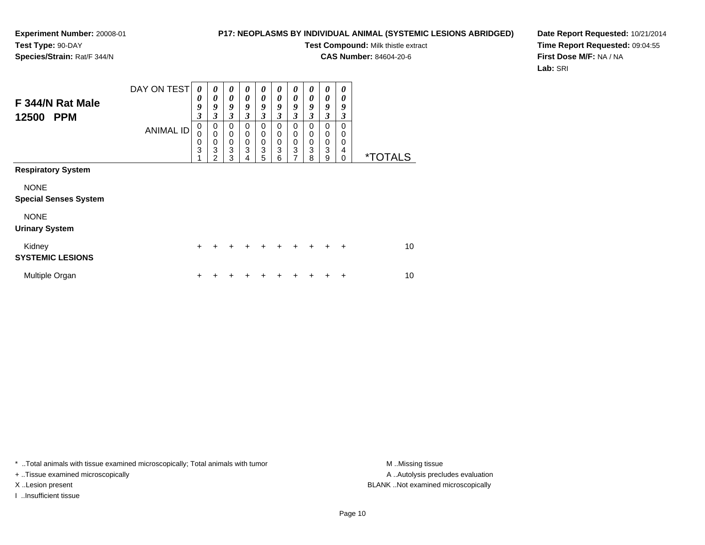# **P17: NEOPLASMS BY INDIVIDUAL ANIMAL (SYSTEMIC LESIONS ABRIDGED)**

**Test Compound:** Milk thistle extract

**CAS Number:** 84604-20-6

**Date Report Requested:** 10/21/2014**Time Report Requested:** 09:04:55**First Dose M/F:** NA / NA**Lab:** SRI

| F 344/N Rat Male<br>12500<br><b>PPM</b>     | DAY ON TEST      | 0<br>0<br>9<br>$\overline{\mathbf{3}}$ | 0<br>0<br>9<br>3                | 0<br>$\boldsymbol{\theta}$<br>9<br>3      | 0<br>$\boldsymbol{\theta}$<br>9<br>3                | $\boldsymbol{\theta}$<br>$\boldsymbol{\theta}$<br>9<br>$\mathfrak{z}$ | $\boldsymbol{\theta}$<br>$\boldsymbol{\theta}$<br>9<br>$\boldsymbol{\beta}$ | 0<br>0<br>9<br>3                                             | 0<br>0<br>9<br>3             | 0<br>$\theta$<br>9<br>$\overline{\mathbf{3}}$ | 0<br>0<br>9<br>3             |                       |
|---------------------------------------------|------------------|----------------------------------------|---------------------------------|-------------------------------------------|-----------------------------------------------------|-----------------------------------------------------------------------|-----------------------------------------------------------------------------|--------------------------------------------------------------|------------------------------|-----------------------------------------------|------------------------------|-----------------------|
|                                             | <b>ANIMAL ID</b> | 0<br>0<br>0<br>3<br>1                  | 0<br>$\mathbf 0$<br>0<br>3<br>2 | 0<br>$\mathbf 0$<br>$\mathbf 0$<br>3<br>3 | $\mathbf 0$<br>$\mathbf 0$<br>$\mathbf 0$<br>3<br>4 | 0<br>0<br>$\mathbf 0$<br>3<br>5                                       | 0<br>0<br>$\mathbf 0$<br>3<br>6                                             | 0<br>0<br>$\boldsymbol{0}$<br>$\ensuremath{\mathsf{3}}$<br>7 | $\Omega$<br>0<br>0<br>3<br>8 | 0<br>0<br>0<br>3<br>9                         | 0<br>0<br>0<br>4<br>$\Omega$ | <i><b>*TOTALS</b></i> |
| <b>Respiratory System</b>                   |                  |                                        |                                 |                                           |                                                     |                                                                       |                                                                             |                                                              |                              |                                               |                              |                       |
| <b>NONE</b><br><b>Special Senses System</b> |                  |                                        |                                 |                                           |                                                     |                                                                       |                                                                             |                                                              |                              |                                               |                              |                       |
| <b>NONE</b><br><b>Urinary System</b>        |                  |                                        |                                 |                                           |                                                     |                                                                       |                                                                             |                                                              |                              |                                               |                              |                       |
| Kidney<br><b>SYSTEMIC LESIONS</b>           |                  | $\ddot{}$                              | ÷                               | +                                         | $\div$                                              | $\div$                                                                | $\div$                                                                      | ÷                                                            | ÷                            | $\div$                                        | $\ddot{}$                    | 10                    |
| Multiple Organ                              |                  | $\ddot{}$                              |                                 |                                           |                                                     |                                                                       |                                                                             |                                                              |                              | ٠                                             | +                            | 10                    |

\* ..Total animals with tissue examined microscopically; Total animals with tumor **M** . Missing tissue M ..Missing tissue

+ ..Tissue examined microscopically

I ..Insufficient tissue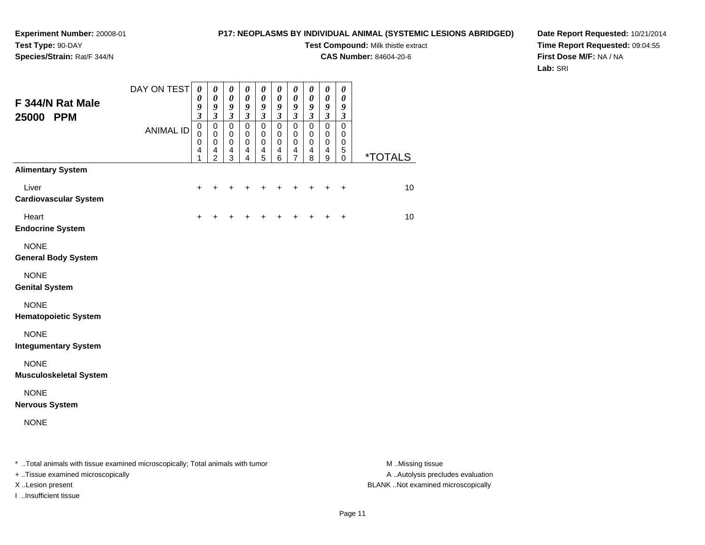# **P17: NEOPLASMS BY INDIVIDUAL ANIMAL (SYSTEMIC LESIONS ABRIDGED)**

**Test Compound:** Milk thistle extract

**CAS Number:** 84604-20-6

**Date Report Requested:** 10/21/2014**Time Report Requested:** 09:04:55**First Dose M/F:** NA / NA**Lab:** SRI

| F 344/N Rat Male<br>25000 PPM                                                  | DAY ON TEST      | $\boldsymbol{\theta}$<br>0<br>9<br>3 | $\boldsymbol{\theta}$<br>$\boldsymbol{\theta}$<br>9<br>$\boldsymbol{\beta}$ | $\pmb{\theta}$<br>$\pmb{\theta}$<br>$\boldsymbol{g}$<br>$\boldsymbol{\beta}$ | $\pmb{\theta}$<br>$\pmb{\theta}$<br>9<br>$\boldsymbol{\beta}$ | $\pmb{\theta}$<br>$\boldsymbol{\theta}$<br>9<br>$\boldsymbol{\beta}$ | 0<br>$\boldsymbol{\theta}$<br>9<br>$\boldsymbol{\beta}$ | $\boldsymbol{\theta}$<br>0<br>9<br>$\boldsymbol{\beta}$ | $\pmb{\theta}$<br>$\pmb{\theta}$<br>9<br>$\mathfrak{z}$                | 0<br>$\pmb{\theta}$<br>9<br>$\mathfrak{z}$ | $\pmb{\theta}$<br>$\boldsymbol{\theta}$<br>9<br>$\boldsymbol{\beta}$ |                       |
|--------------------------------------------------------------------------------|------------------|--------------------------------------|-----------------------------------------------------------------------------|------------------------------------------------------------------------------|---------------------------------------------------------------|----------------------------------------------------------------------|---------------------------------------------------------|---------------------------------------------------------|------------------------------------------------------------------------|--------------------------------------------|----------------------------------------------------------------------|-----------------------|
|                                                                                | <b>ANIMAL ID</b> | $\mathbf 0$<br>0<br>0<br>4<br>1      | $\mathbf 0$<br>$\mathbf 0$<br>0<br>$\overline{4}$<br>2                      | $\mathbf 0$<br>$\mathbf 0$<br>$\mathbf 0$<br>$\overline{\mathbf{4}}$<br>3    | $\mathbf 0$<br>0<br>$\pmb{0}$<br>4<br>4                       | $\mathbf 0$<br>$\,0\,$<br>$\pmb{0}$<br>$\frac{4}{5}$                 | $\mathbf 0$<br>0<br>0<br>$\overline{4}$<br>$\,6$        | $\mathbf 0$<br>$\,0\,$<br>0<br>4<br>7                   | $\mathsf 0$<br>0<br>$\pmb{0}$<br>$\begin{array}{c} 4 \\ 8 \end{array}$ | $\mathbf 0$<br>0<br>0<br>4<br>9            | $\mathbf 0$<br>0<br>0<br>$\mathbf 5$<br>0                            | <i><b>*TOTALS</b></i> |
| <b>Alimentary System</b>                                                       |                  |                                      |                                                                             |                                                                              |                                                               |                                                                      |                                                         |                                                         |                                                                        |                                            |                                                                      |                       |
| Liver<br><b>Cardiovascular System</b>                                          |                  | ÷                                    | +                                                                           |                                                                              |                                                               |                                                                      | ٠                                                       | ٠                                                       | ٠                                                                      | ÷                                          | $\ddot{}$                                                            | 10                    |
| Heart<br><b>Endocrine System</b>                                               |                  | $\ddot{}$                            |                                                                             |                                                                              |                                                               |                                                                      |                                                         |                                                         |                                                                        |                                            | $\ddot{}$                                                            | 10                    |
| <b>NONE</b><br><b>General Body System</b>                                      |                  |                                      |                                                                             |                                                                              |                                                               |                                                                      |                                                         |                                                         |                                                                        |                                            |                                                                      |                       |
| <b>NONE</b><br><b>Genital System</b>                                           |                  |                                      |                                                                             |                                                                              |                                                               |                                                                      |                                                         |                                                         |                                                                        |                                            |                                                                      |                       |
| <b>NONE</b><br><b>Hematopoietic System</b>                                     |                  |                                      |                                                                             |                                                                              |                                                               |                                                                      |                                                         |                                                         |                                                                        |                                            |                                                                      |                       |
| <b>NONE</b><br><b>Integumentary System</b>                                     |                  |                                      |                                                                             |                                                                              |                                                               |                                                                      |                                                         |                                                         |                                                                        |                                            |                                                                      |                       |
| <b>NONE</b><br><b>Musculoskeletal System</b>                                   |                  |                                      |                                                                             |                                                                              |                                                               |                                                                      |                                                         |                                                         |                                                                        |                                            |                                                                      |                       |
| <b>NONE</b><br><b>Nervous System</b>                                           |                  |                                      |                                                                             |                                                                              |                                                               |                                                                      |                                                         |                                                         |                                                                        |                                            |                                                                      |                       |
| <b>NONE</b>                                                                    |                  |                                      |                                                                             |                                                                              |                                                               |                                                                      |                                                         |                                                         |                                                                        |                                            |                                                                      |                       |
| * Total animals with tissue examined microscopically; Total animals with tumor |                  |                                      |                                                                             |                                                                              |                                                               |                                                                      |                                                         |                                                         |                                                                        |                                            |                                                                      | M Missing tissue      |

+ ..Tissue examined microscopically

I ..Insufficient tissue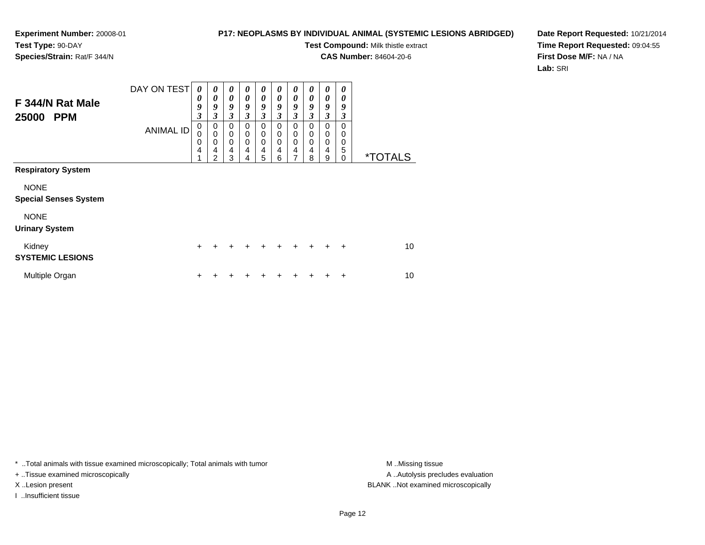# **P17: NEOPLASMS BY INDIVIDUAL ANIMAL (SYSTEMIC LESIONS ABRIDGED)**

**Test Compound:** Milk thistle extract

**CAS Number:** 84604-20-6

**Date Report Requested:** 10/21/2014**Time Report Requested:** 09:04:55**First Dose M/F:** NA / NA**Lab:** SRI

| F 344/N Rat Male<br>25000<br><b>PPM</b>     | DAY ON TEST      | 0<br>0<br>9<br>$\overline{\mathbf{3}}$ | 0<br>$\boldsymbol{\theta}$<br>9<br>3                   | $\boldsymbol{\theta}$<br>$\boldsymbol{\theta}$<br>9<br>$\mathfrak{z}$ | 0<br>$\theta$<br>9<br>3 | 0<br>$\boldsymbol{\theta}$<br>9<br>$\boldsymbol{\beta}$ | 0<br>0<br>9<br>3                       | $\boldsymbol{\theta}$<br>$\boldsymbol{\theta}$<br>9<br>$\mathfrak{z}$ | 0<br>$\boldsymbol{\theta}$<br>9<br>3 | 0<br>0<br>9<br>$\mathfrak{z}$             | 0<br>0<br>9<br>3                    |                       |
|---------------------------------------------|------------------|----------------------------------------|--------------------------------------------------------|-----------------------------------------------------------------------|-------------------------|---------------------------------------------------------|----------------------------------------|-----------------------------------------------------------------------|--------------------------------------|-------------------------------------------|-------------------------------------|-----------------------|
|                                             | <b>ANIMAL ID</b> | 0<br>0<br>0<br>4<br>1                  | 0<br>$\mathbf 0$<br>$\mathbf 0$<br>4<br>$\overline{2}$ | 0<br>$\mathbf 0$<br>$\mathbf 0$<br>4<br>3                             | 0<br>0<br>0<br>4<br>4   | $\mathbf 0$<br>$\mathbf 0$<br>$\mathbf 0$<br>4<br>5     | $\Omega$<br>0<br>$\mathbf 0$<br>4<br>6 | 0<br>0<br>0<br>$\overline{\mathbf{4}}$<br>7                           | 0<br>0<br>0<br>4<br>8                | $\mathbf 0$<br>0<br>$\mathbf 0$<br>4<br>9 | $\Omega$<br>0<br>0<br>5<br>$\Omega$ | <i><b>*TOTALS</b></i> |
| <b>Respiratory System</b>                   |                  |                                        |                                                        |                                                                       |                         |                                                         |                                        |                                                                       |                                      |                                           |                                     |                       |
| <b>NONE</b><br><b>Special Senses System</b> |                  |                                        |                                                        |                                                                       |                         |                                                         |                                        |                                                                       |                                      |                                           |                                     |                       |
| <b>NONE</b><br><b>Urinary System</b>        |                  |                                        |                                                        |                                                                       |                         |                                                         |                                        |                                                                       |                                      |                                           |                                     |                       |
| Kidney<br><b>SYSTEMIC LESIONS</b>           |                  | $\ddot{}$                              | +                                                      | $\ddot{}$                                                             | $\div$                  | $\ddot{}$                                               | $\div$                                 | $\div$                                                                | $\ddot{}$                            | $\div$                                    | $\ddot{}$                           | 10                    |
| Multiple Organ                              |                  | $\ddot{}$                              |                                                        |                                                                       |                         |                                                         |                                        |                                                                       |                                      |                                           | $\ddot{}$                           | 10                    |

\* ..Total animals with tissue examined microscopically; Total animals with tumor **M** . Missing tissue M ..Missing tissue

+ ..Tissue examined microscopically

I ..Insufficient tissue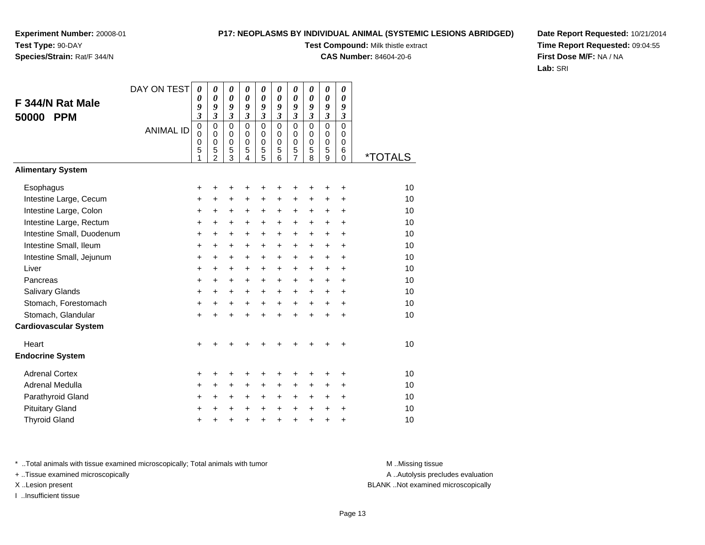# **P17: NEOPLASMS BY INDIVIDUAL ANIMAL (SYSTEMIC LESIONS ABRIDGED)**

**Test Compound:** Milk thistle extract

**CAS Number:** 84604-20-6

**Date Report Requested:** 10/21/2014**Time Report Requested:** 09:04:55**First Dose M/F:** NA / NA**Lab:** SRI

|                              | DAY ON TEST      | $\boldsymbol{\theta}$   | $\boldsymbol{\theta}$      | $\boldsymbol{\theta}$      | 0<br>$\boldsymbol{\theta}$   | 0                          | 0<br>0               | 0<br>$\boldsymbol{\theta}$ | 0<br>$\boldsymbol{\theta}$ | 0<br>$\boldsymbol{\theta}$ | 0<br>$\boldsymbol{\theta}$ |                       |
|------------------------------|------------------|-------------------------|----------------------------|----------------------------|------------------------------|----------------------------|----------------------|----------------------------|----------------------------|----------------------------|----------------------------|-----------------------|
| F 344/N Rat Male             |                  | 0<br>$\pmb{9}$          | 0<br>9                     | $\boldsymbol{\theta}$<br>9 | 9                            | $\boldsymbol{\theta}$<br>9 | 9                    | 9                          | 9                          | 9                          | 9                          |                       |
| <b>PPM</b><br>50000          |                  | $\overline{\mathbf{3}}$ | $\overline{\mathbf{3}}$    | $\mathfrak{z}$             | $\mathfrak{z}$               | $\mathfrak{z}$             | $\mathfrak{z}$       | $\boldsymbol{\beta}$       | 3                          | $\overline{\mathbf{3}}$    | $\boldsymbol{\beta}$       |                       |
|                              | <b>ANIMAL ID</b> | 0<br>0                  | $\mathbf 0$<br>$\mathbf 0$ | $\mathbf 0$<br>$\mathbf 0$ | $\mathbf 0$<br>0             | $\mathbf 0$<br>0           | $\Omega$<br>$\Omega$ | $\mathbf 0$<br>$\pmb{0}$   | $\mathbf 0$<br>$\mathbf 0$ | $\mathbf 0$<br>0           | $\mathbf 0$<br>0           |                       |
|                              |                  | 0                       | $\mathbf 0$                | $\mathbf 0$                | $\mathbf 0$                  | $\mathbf 0$                | $\mathbf 0$          | $\pmb{0}$                  | $\mathbf 0$                | $\mathsf 0$                | $\mathbf 0$                |                       |
|                              |                  | 5<br>1                  | 5<br>$\mathfrak{p}$        | 5<br>3                     | 5<br>$\overline{\mathbf{4}}$ | 5<br>$\overline{5}$        | 5<br>6               | 5<br>$\overline{7}$        | 5<br>8                     | 5<br>9                     | 6<br>$\Omega$              | <i><b>*TOTALS</b></i> |
| <b>Alimentary System</b>     |                  |                         |                            |                            |                              |                            |                      |                            |                            |                            |                            |                       |
| Esophagus                    |                  | +                       |                            | ٠                          | +                            | +                          | +                    | +                          |                            | ٠                          | +                          | 10                    |
| Intestine Large, Cecum       |                  | +                       | +                          | $\ddot{}$                  | $\ddot{}$                    | $\ddot{}$                  | $\ddot{}$            | $\ddot{}$                  | $\ddot{}$                  | $\ddot{}$                  | +                          | 10                    |
| Intestine Large, Colon       |                  | $\ddot{}$               | +                          | +                          | +                            | +                          | $\ddot{}$            | $\ddot{}$                  | $\ddot{}$                  | $\ddot{}$                  | +                          | 10                    |
| Intestine Large, Rectum      |                  | +                       | $\ddot{}$                  | $\ddot{}$                  | +                            | +                          | $\ddot{}$            | $\ddot{}$                  | $\ddot{}$                  | $\ddot{}$                  | $\ddot{}$                  | 10                    |
| Intestine Small, Duodenum    |                  | $\ddot{}$               | $\ddot{}$                  | $\ddot{}$                  | $\ddot{}$                    | $\ddot{}$                  | $\ddot{}$            | $\ddot{}$                  | $\ddot{}$                  | $+$                        | $\ddot{}$                  | 10                    |
| Intestine Small, Ileum       |                  | +                       | +                          | $\ddot{}$                  | +                            | +                          | +                    | +                          | $\pm$                      | $\pm$                      | +                          | 10                    |
| Intestine Small, Jejunum     |                  | $\ddot{}$               | $\ddot{}$                  | $\ddot{}$                  | +                            | +                          | $\ddot{}$            | $\ddot{}$                  | $\ddot{}$                  | $\ddot{}$                  | $\ddot{}$                  | 10                    |
| Liver                        |                  | $\ddot{}$               | $\ddot{}$                  | $\ddot{}$                  | $\ddot{}$                    | +                          | $\ddot{}$            | $\ddot{}$                  | $\ddot{}$                  | $\ddot{}$                  | $\ddot{}$                  | 10                    |
| Pancreas                     |                  | $\ddot{}$               | $\ddot{}$                  | $\ddot{}$                  | $\ddot{}$                    | $\ddot{}$                  | $\ddot{}$            | $\ddot{}$                  | $\ddot{}$                  | $+$                        | $\ddot{}$                  | 10                    |
| <b>Salivary Glands</b>       |                  | $\ddot{}$               | +                          | +                          | +                            | +                          | +                    | +                          | +                          | $\ddot{}$                  | +                          | 10                    |
| Stomach, Forestomach         |                  | $\ddot{}$               | $\ddot{}$                  | $\ddot{}$                  | $\ddot{}$                    | +                          | $\ddot{}$            | $\ddot{}$                  | $+$                        | $+$                        | $\ddot{}$                  | 10                    |
| Stomach, Glandular           |                  | $\ddot{}$               | $\div$                     | $\div$                     | $\ddot{}$                    | $\ddot{}$                  | $\ddot{}$            | $\ddot{}$                  | $\ddot{}$                  | $\ddot{}$                  | $\ddot{}$                  | 10                    |
| <b>Cardiovascular System</b> |                  |                         |                            |                            |                              |                            |                      |                            |                            |                            |                            |                       |
| Heart                        |                  | $\ddot{}$               |                            |                            |                              |                            |                      |                            |                            |                            | +                          | 10                    |
| <b>Endocrine System</b>      |                  |                         |                            |                            |                              |                            |                      |                            |                            |                            |                            |                       |
| <b>Adrenal Cortex</b>        |                  | +                       | ٠                          | +                          | +                            | +                          | +                    | +                          | ٠                          | ÷                          | ÷                          | 10                    |
| Adrenal Medulla              |                  | +                       | +                          | +                          | +                            | +                          | $\ddot{}$            | +                          | $\pm$                      | $\pm$                      | $\ddot{}$                  | 10                    |
| Parathyroid Gland            |                  | $\ddot{}$               | $\ddot{}$                  | $\ddot{}$                  | $\ddot{}$                    | +                          | $\ddot{}$            | $\ddot{}$                  | $\ddot{}$                  | $+$                        | $\ddot{}$                  | 10                    |
| <b>Pituitary Gland</b>       |                  | +                       |                            | +                          | +                            | +                          | $\ddot{}$            | $\ddot{}$                  | $\ddot{}$                  | $\ddot{}$                  | +                          | 10                    |
| <b>Thyroid Gland</b>         |                  | $\ddot{}$               | +                          | +                          | +                            | $\ddot{}$                  | +                    | $\ddot{}$                  | $\ddot{}$                  | +                          | +                          | 10                    |

\* ..Total animals with tissue examined microscopically; Total animals with tumor **M** . Missing tissue M ..Missing tissue

+ ..Tissue examined microscopically

I ..Insufficient tissue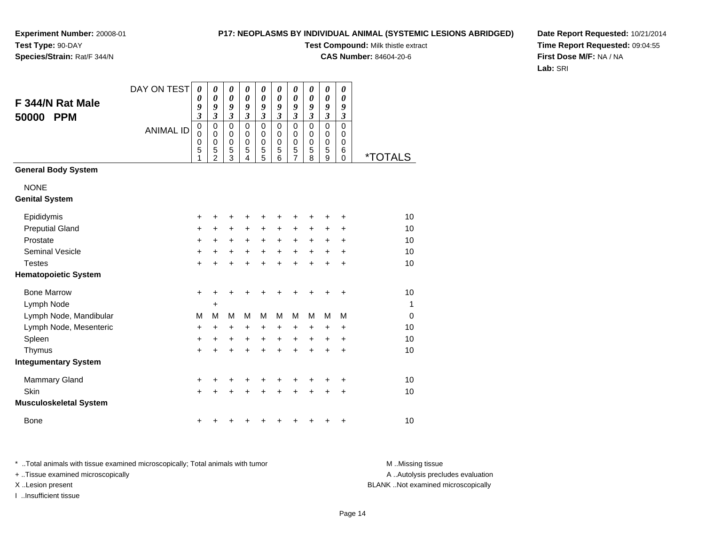# **P17: NEOPLASMS BY INDIVIDUAL ANIMAL (SYSTEMIC LESIONS ABRIDGED)**

**Test Compound:** Milk thistle extract

**CAS Number:** 84604-20-6

**Date Report Requested:** 10/21/2014**Time Report Requested:** 09:04:55**First Dose M/F:** NA / NA**Lab:** SRI

| F 344/N Rat Male<br>50000<br><b>PPM</b> | DAY ON TEST      | 0<br>0<br>9<br>$\overline{\mathbf{3}}$              | 0<br>$\boldsymbol{\theta}$<br>9<br>3                             | 0<br>0<br>9<br>$\mathfrak{z}$                       | 0<br>$\boldsymbol{\theta}$<br>9<br>$\mathfrak{z}$   | 0<br>0<br>9<br>$\mathfrak{z}$             | 0<br>0<br>9<br>$\mathfrak{z}$             | 0<br>$\boldsymbol{\theta}$<br>9<br>$\mathfrak{z}$      | 0<br>$\boldsymbol{\theta}$<br>9<br>$\mathfrak{z}$ | $\boldsymbol{\theta}$<br>$\boldsymbol{\theta}$<br>9<br>$\boldsymbol{\mathfrak{z}}$ | 0<br>0<br>9<br>$\boldsymbol{\beta}$ |                       |
|-----------------------------------------|------------------|-----------------------------------------------------|------------------------------------------------------------------|-----------------------------------------------------|-----------------------------------------------------|-------------------------------------------|-------------------------------------------|--------------------------------------------------------|---------------------------------------------------|------------------------------------------------------------------------------------|-------------------------------------|-----------------------|
|                                         | <b>ANIMAL ID</b> | $\mathbf 0$<br>$\mathbf 0$<br>$\mathbf 0$<br>5<br>1 | $\mathbf 0$<br>$\mathbf 0$<br>$\mathbf 0$<br>5<br>$\overline{2}$ | $\mathbf 0$<br>$\mathbf 0$<br>$\mathbf 0$<br>5<br>3 | $\mathbf 0$<br>$\mathbf 0$<br>$\mathbf 0$<br>5<br>4 | $\mathbf 0$<br>$\mathbf 0$<br>0<br>5<br>5 | 0<br>$\mathbf 0$<br>$\mathbf 0$<br>5<br>6 | $\mathbf 0$<br>$\mathbf 0$<br>0<br>5<br>$\overline{7}$ | $\Omega$<br>0<br>$\mathbf 0$<br>5<br>8            | $\mathbf 0$<br>$\pmb{0}$<br>$\mathbf 0$<br>5<br>9                                  | $\Omega$<br>0<br>0<br>6<br>$\Omega$ | <i><b>*TOTALS</b></i> |
| <b>General Body System</b>              |                  |                                                     |                                                                  |                                                     |                                                     |                                           |                                           |                                                        |                                                   |                                                                                    |                                     |                       |
| <b>NONE</b><br><b>Genital System</b>    |                  |                                                     |                                                                  |                                                     |                                                     |                                           |                                           |                                                        |                                                   |                                                                                    |                                     |                       |
| Epididymis                              |                  | +                                                   | +                                                                | +                                                   | +                                                   | +                                         | +                                         | +                                                      | +                                                 | +                                                                                  | +                                   | 10                    |
| <b>Preputial Gland</b>                  |                  | +                                                   | +                                                                | +                                                   | +                                                   | +                                         | +                                         | +                                                      | +                                                 | +                                                                                  | +                                   | 10                    |
| Prostate                                |                  | +                                                   | $\ddot{}$                                                        | +                                                   | $\ddot{}$                                           | +                                         | $\ddot{}$                                 | +                                                      | +                                                 | +                                                                                  | $\ddot{}$                           | 10                    |
| <b>Seminal Vesicle</b>                  |                  | +                                                   | +                                                                | +                                                   | $\ddot{}$                                           | $\ddot{}$                                 | $\ddot{}$                                 | $\ddot{}$                                              | $\ddot{}$                                         | $\ddot{}$                                                                          | $\ddot{}$                           | 10                    |
| <b>Testes</b>                           |                  | +                                                   | +                                                                | +                                                   | +                                                   | +                                         | +                                         | +                                                      | +                                                 | $\ddot{}$                                                                          | $\ddot{}$                           | 10                    |
| <b>Hematopoietic System</b>             |                  |                                                     |                                                                  |                                                     |                                                     |                                           |                                           |                                                        |                                                   |                                                                                    |                                     |                       |
| <b>Bone Marrow</b>                      |                  | $\ddot{}$                                           | +                                                                | +                                                   | +                                                   | +                                         | +                                         | +                                                      | +                                                 | +                                                                                  | +                                   | 10                    |
| Lymph Node                              |                  |                                                     | $\ddot{}$                                                        |                                                     |                                                     |                                           |                                           |                                                        |                                                   |                                                                                    |                                     | 1                     |
| Lymph Node, Mandibular                  |                  | M                                                   | м                                                                | M                                                   | M                                                   | M                                         | M                                         | M                                                      | M                                                 | M                                                                                  | M                                   | $\mathbf 0$           |
| Lymph Node, Mesenteric                  |                  | $\ddot{}$                                           | $\ddot{}$                                                        | $\ddot{}$                                           | $\ddot{}$                                           | $\ddot{}$                                 | +                                         | +                                                      | +                                                 | $\ddot{}$                                                                          | $\ddot{}$                           | 10                    |
| Spleen                                  |                  | +                                                   | +                                                                | +                                                   | $\ddot{}$                                           | +                                         | $\ddot{}$                                 | +                                                      | +                                                 | +                                                                                  | +                                   | 10                    |
| Thymus                                  |                  | $\ddot{}$                                           | $\ddot{}$                                                        | +                                                   | $\ddot{}$                                           | $\ddot{}$                                 | $\ddot{}$                                 | $\ddot{}$                                              | $\ddot{}$                                         | $\ddot{}$                                                                          | $\ddot{}$                           | 10                    |
| <b>Integumentary System</b>             |                  |                                                     |                                                                  |                                                     |                                                     |                                           |                                           |                                                        |                                                   |                                                                                    |                                     |                       |
| <b>Mammary Gland</b>                    |                  | +                                                   | +                                                                | +                                                   | +                                                   | +                                         | +                                         | +                                                      | +                                                 | +                                                                                  | $\ddot{}$                           | 10                    |
| Skin                                    |                  | $\ddot{}$                                           |                                                                  | +                                                   | +                                                   | +                                         | +                                         | $\ddot{}$                                              | +                                                 | $\ddot{}$                                                                          | $\ddot{}$                           | 10                    |
| <b>Musculoskeletal System</b>           |                  |                                                     |                                                                  |                                                     |                                                     |                                           |                                           |                                                        |                                                   |                                                                                    |                                     |                       |
| <b>Bone</b>                             |                  | +                                                   |                                                                  |                                                     |                                                     |                                           |                                           | +                                                      |                                                   | +                                                                                  | +                                   | 10                    |

\* ..Total animals with tissue examined microscopically; Total animals with tumor **M** . Missing tissue M ..Missing tissue + ..Tissue examined microscopically X ..Lesion present BLANK ..Not examined microscopically

I ..Insufficient tissue

A ..Autolysis precludes evaluation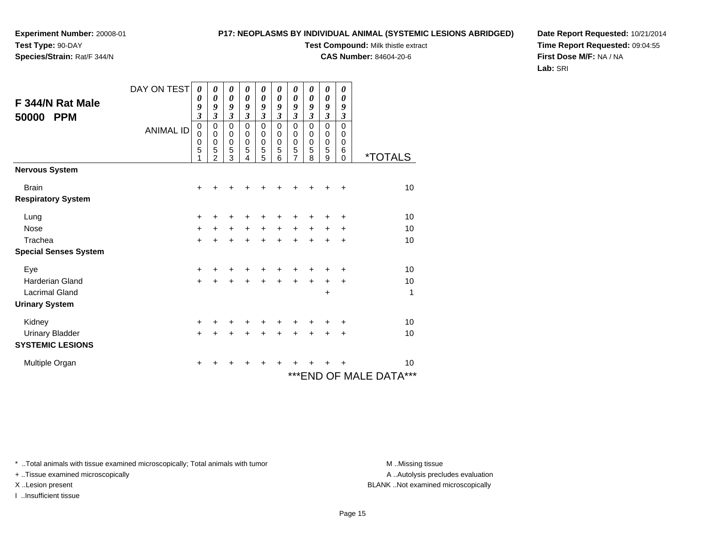# **P17: NEOPLASMS BY INDIVIDUAL ANIMAL (SYSTEMIC LESIONS ABRIDGED)**

**Test Compound:** Milk thistle extract

**CAS Number:** 84604-20-6

**Date Report Requested:** 10/21/2014**Time Report Requested:** 09:04:55**First Dose M/F:** NA / NA**Lab:** SRI

| F 344/N Rat Male<br>50000<br><b>PPM</b> | DAY ON TEST<br><b>ANIMAL ID</b> | 0<br>0<br>9<br>3<br>$\mathbf 0$<br>0<br>0<br>5 | 0<br>$\boldsymbol{\theta}$<br>9<br>3<br>$\mathbf 0$<br>0<br>$\mathbf 0$<br>5 | 0<br>$\boldsymbol{\theta}$<br>9<br>$\overline{\mathbf{3}}$<br>$\mathbf 0$<br>0<br>$\mathbf 0$<br>5 | 0<br>$\boldsymbol{\theta}$<br>9<br>$\boldsymbol{\mathfrak{z}}$<br>$\mathbf 0$<br>0<br>$\pmb{0}$<br>$\overline{5}$ | 0<br>0<br>9<br>$\overline{\mathbf{3}}$<br>$\mathbf 0$<br>0<br>0<br>5 | $\boldsymbol{\theta}$<br>$\boldsymbol{\theta}$<br>9<br>$\boldsymbol{\mathfrak{z}}$<br>$\mathbf 0$<br>0<br>$\mathbf 0$<br>5 | $\boldsymbol{\theta}$<br>$\boldsymbol{\theta}$<br>9<br>$\overline{\mathbf{3}}$<br>$\mathbf 0$<br>0<br>$\mathbf 0$<br>5 | $\boldsymbol{\theta}$<br>0<br>9<br>$\mathfrak{z}$<br>$\mathbf 0$<br>0<br>$\pmb{0}$<br>5 | 0<br>0<br>9<br>$\boldsymbol{\mathfrak{z}}$<br>$\mathbf 0$<br>0<br>0<br>5 | 0<br>$\boldsymbol{\theta}$<br>9<br>$\boldsymbol{\mathfrak{z}}$<br>$\mathbf 0$<br>0<br>$\pmb{0}$<br>6 |                            |
|-----------------------------------------|---------------------------------|------------------------------------------------|------------------------------------------------------------------------------|----------------------------------------------------------------------------------------------------|-------------------------------------------------------------------------------------------------------------------|----------------------------------------------------------------------|----------------------------------------------------------------------------------------------------------------------------|------------------------------------------------------------------------------------------------------------------------|-----------------------------------------------------------------------------------------|--------------------------------------------------------------------------|------------------------------------------------------------------------------------------------------|----------------------------|
|                                         |                                 |                                                | 2                                                                            | 3                                                                                                  | 4                                                                                                                 | 5                                                                    | 6                                                                                                                          | 7                                                                                                                      | 8                                                                                       | 9                                                                        | $\mathbf 0$                                                                                          | <i><b>*TOTALS</b></i>      |
| Nervous System                          |                                 |                                                |                                                                              |                                                                                                    |                                                                                                                   |                                                                      |                                                                                                                            |                                                                                                                        |                                                                                         |                                                                          |                                                                                                      |                            |
| <b>Brain</b>                            |                                 | +                                              | +                                                                            | ٠                                                                                                  | +                                                                                                                 |                                                                      | +                                                                                                                          | +                                                                                                                      | +                                                                                       |                                                                          | ÷                                                                                                    | 10                         |
| <b>Respiratory System</b>               |                                 |                                                |                                                                              |                                                                                                    |                                                                                                                   |                                                                      |                                                                                                                            |                                                                                                                        |                                                                                         |                                                                          |                                                                                                      |                            |
| Lung                                    |                                 | $\ddot{}$                                      | ٠                                                                            | ٠                                                                                                  | ٠                                                                                                                 | +                                                                    | ٠                                                                                                                          | +                                                                                                                      | +                                                                                       |                                                                          | +                                                                                                    | 10                         |
| <b>Nose</b>                             |                                 | $\ddot{}$                                      | $\ddot{}$                                                                    | $\ddot{}$                                                                                          | $\ddot{}$                                                                                                         | $+$                                                                  | $\ddot{}$                                                                                                                  | $\ddot{}$                                                                                                              | $\ddot{}$                                                                               | +                                                                        | $\ddot{}$                                                                                            | 10                         |
| Trachea                                 |                                 | $\ddot{}$                                      | $\ddot{}$                                                                    | $\ddot{}$                                                                                          | $\ddot{}$                                                                                                         | $\ddot{}$                                                            | $\ddot{}$                                                                                                                  | $\ddot{}$                                                                                                              | $\ddot{}$                                                                               | $\ddot{}$                                                                | $\ddot{}$                                                                                            | 10                         |
| <b>Special Senses System</b>            |                                 |                                                |                                                                              |                                                                                                    |                                                                                                                   |                                                                      |                                                                                                                            |                                                                                                                        |                                                                                         |                                                                          |                                                                                                      |                            |
| Eye                                     |                                 | +                                              |                                                                              |                                                                                                    | ٠                                                                                                                 | +                                                                    | +                                                                                                                          | +                                                                                                                      | +                                                                                       | +                                                                        | +                                                                                                    | 10                         |
| Harderian Gland                         |                                 | $\ddot{}$                                      | $\ddot{}$                                                                    | $\ddot{}$                                                                                          | $\ddot{}$                                                                                                         | $\ddot{}$                                                            | $\ddot{}$                                                                                                                  | $\ddot{}$                                                                                                              | $\ddot{}$                                                                               | +                                                                        | $\ddot{}$                                                                                            | 10                         |
| <b>Lacrimal Gland</b>                   |                                 |                                                |                                                                              |                                                                                                    |                                                                                                                   |                                                                      |                                                                                                                            |                                                                                                                        |                                                                                         | +                                                                        |                                                                                                      | 1                          |
| <b>Urinary System</b>                   |                                 |                                                |                                                                              |                                                                                                    |                                                                                                                   |                                                                      |                                                                                                                            |                                                                                                                        |                                                                                         |                                                                          |                                                                                                      |                            |
| Kidney                                  |                                 | +                                              | ٠                                                                            | ٠                                                                                                  | ÷                                                                                                                 | +                                                                    | +                                                                                                                          | +                                                                                                                      | +                                                                                       |                                                                          | +                                                                                                    | 10                         |
| <b>Urinary Bladder</b>                  |                                 | $\ddot{}$                                      |                                                                              | $\ddot{}$                                                                                          | $\ddot{}$                                                                                                         | $\ddot{}$                                                            | $\ddot{}$                                                                                                                  |                                                                                                                        |                                                                                         |                                                                          | $\ddot{}$                                                                                            | 10                         |
| <b>SYSTEMIC LESIONS</b>                 |                                 |                                                |                                                                              |                                                                                                    |                                                                                                                   |                                                                      |                                                                                                                            |                                                                                                                        |                                                                                         |                                                                          |                                                                                                      |                            |
| Multiple Organ                          |                                 | +                                              | +                                                                            | +                                                                                                  | +                                                                                                                 | +                                                                    | +                                                                                                                          |                                                                                                                        |                                                                                         |                                                                          | +                                                                                                    | 10                         |
|                                         |                                 |                                                |                                                                              |                                                                                                    |                                                                                                                   |                                                                      |                                                                                                                            |                                                                                                                        |                                                                                         |                                                                          |                                                                                                      | ***<br>***END OF MALE DATA |

\* ..Total animals with tissue examined microscopically; Total animals with tumor **M** . Missing tissue M ..Missing tissue

+ ..Tissue examined microscopically

I ..Insufficient tissue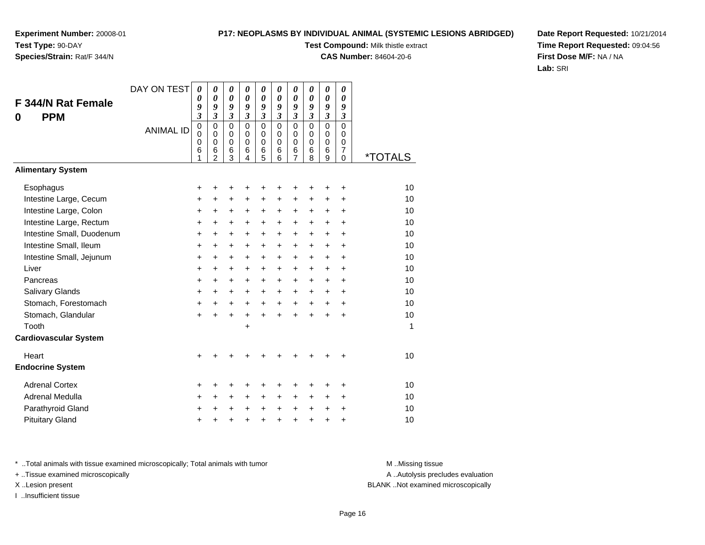### **P17: NEOPLASMS BY INDIVIDUAL ANIMAL (SYSTEMIC LESIONS ABRIDGED)**

**Test Compound:** Milk thistle extract

**CAS Number:** 84604-20-6

**Date Report Requested:** 10/21/2014**Time Report Requested:** 09:04:56**First Dose M/F:** NA / NA**Lab:** SRI

| <b>F 344/N Rat Female</b><br><b>PPM</b><br>0 | DAY ON TEST      | 0<br>0<br>9<br>$\overline{\mathbf{3}}$    | 0<br>$\boldsymbol{\theta}$<br>9<br>$\overline{\mathbf{3}}$    | 0<br>0<br>9<br>$\mathfrak{z}$             | 0<br>$\boldsymbol{\theta}$<br>9<br>$\mathfrak{z}$ | 0<br>$\boldsymbol{\theta}$<br>9<br>$\mathfrak{z}$   | 0<br>0<br>9<br>$\boldsymbol{\mathfrak{z}}$       | $\pmb{\theta}$<br>0<br>9<br>$\boldsymbol{\mathfrak{z}}$ | 0<br>0<br>9<br>$\mathfrak{z}$                 | $\boldsymbol{\theta}$<br>0<br>9<br>$\overline{\mathbf{3}}$ | 0<br>0<br>9<br>$\boldsymbol{\beta}$                       |                       |
|----------------------------------------------|------------------|-------------------------------------------|---------------------------------------------------------------|-------------------------------------------|---------------------------------------------------|-----------------------------------------------------|--------------------------------------------------|---------------------------------------------------------|-----------------------------------------------|------------------------------------------------------------|-----------------------------------------------------------|-----------------------|
|                                              | <b>ANIMAL ID</b> | $\mathbf 0$<br>$\mathbf 0$<br>0<br>6<br>1 | $\mathbf 0$<br>$\Omega$<br>$\mathbf 0$<br>6<br>$\overline{2}$ | $\mathbf 0$<br>0<br>$\mathbf 0$<br>6<br>3 | $\Omega$<br>0<br>$\mathbf 0$<br>6<br>4            | $\mathbf 0$<br>$\mathbf 0$<br>$\mathbf 0$<br>6<br>5 | $\mathbf 0$<br>$\Omega$<br>$\mathbf 0$<br>6<br>6 | $\mathbf 0$<br>0<br>$\pmb{0}$<br>6<br>$\overline{7}$    | $\Omega$<br>$\Omega$<br>$\mathbf 0$<br>6<br>8 | $\mathsf 0$<br>$\mathbf 0$<br>$\mathbf 0$<br>6<br>9        | $\overline{0}$<br>0<br>$\mathbf 0$<br>$\overline{7}$<br>0 | <i><b>*TOTALS</b></i> |
| <b>Alimentary System</b>                     |                  |                                           |                                                               |                                           |                                                   |                                                     |                                                  |                                                         |                                               |                                                            |                                                           |                       |
| Esophagus                                    |                  | +                                         | +                                                             | +                                         |                                                   |                                                     |                                                  | +                                                       | +                                             | +                                                          | +                                                         | 10                    |
| Intestine Large, Cecum                       |                  | +                                         | $\ddot{}$                                                     | $\ddot{}$                                 | $\ddot{}$                                         | $\ddot{}$                                           | $\ddot{}$                                        | $\ddot{}$                                               | $\ddot{}$                                     | $\ddot{}$                                                  | $\ddot{}$                                                 | 10                    |
| Intestine Large, Colon                       |                  | +                                         | +                                                             | +                                         | $\ddot{}$                                         | +                                                   | $\pm$                                            | +                                                       | +                                             | +                                                          | $\ddot{}$                                                 | 10                    |
| Intestine Large, Rectum                      |                  | +                                         | +                                                             | $\ddot{}$                                 | $\ddot{}$                                         | $\ddot{}$                                           | $\ddot{}$                                        | $\ddot{}$                                               | +                                             | +                                                          | $\ddot{}$                                                 | 10                    |
| Intestine Small, Duodenum                    |                  | +                                         | $\ddot{}$                                                     | $\ddot{}$                                 | $\ddot{}$                                         | $\ddot{}$                                           | $\ddot{}$                                        | $\ddot{}$                                               | $\ddot{}$                                     | $\ddot{}$                                                  | $+$                                                       | 10                    |
| Intestine Small, Ileum                       |                  | +                                         | +                                                             | $\ddot{}$                                 | $\ddot{}$                                         | $\ddot{}$                                           | +                                                | $\ddot{}$                                               | +                                             | $\ddot{}$                                                  | $\ddot{}$                                                 | 10                    |
| Intestine Small, Jejunum                     |                  | $\ddot{}$                                 | $\ddot{}$                                                     | $\ddot{}$                                 | $\ddot{}$                                         | $\ddot{}$                                           | +                                                | $\ddot{}$                                               | $\ddot{}$                                     | +                                                          | $\ddot{}$                                                 | 10                    |
| Liver                                        |                  | +                                         | $\ddot{}$                                                     | $\ddot{}$                                 | $\ddot{}$                                         | $\ddot{}$                                           | $+$                                              | $\ddot{}$                                               | +                                             | +                                                          | $\ddot{}$                                                 | 10                    |
| Pancreas                                     |                  | $\ddot{}$                                 | $\ddot{}$                                                     | $\ddot{}$                                 | $\ddot{}$                                         | $\ddot{}$                                           | +                                                | $\ddot{}$                                               | $\ddot{}$                                     | $\ddot{}$                                                  | $+$                                                       | 10                    |
| Salivary Glands                              |                  | +                                         | +                                                             | +                                         | +                                                 | +                                                   | +                                                | +                                                       | $\ddot{}$                                     | $\pm$                                                      | $\ddot{}$                                                 | 10                    |
| Stomach, Forestomach                         |                  | $\ddot{}$                                 | $\ddot{}$                                                     | $\ddot{}$                                 | $\ddot{}$                                         | $\ddot{}$                                           | $\ddot{}$                                        | $\ddot{}$                                               | $\ddot{}$                                     | $\ddot{}$                                                  | $+$                                                       | 10                    |
| Stomach, Glandular                           |                  | $\ddot{}$                                 | $\ddot{}$                                                     | $\ddot{}$                                 | $\ddot{}$                                         | $\ddot{}$                                           | $\ddot{}$                                        | $\ddot{}$                                               | $\ddot{}$                                     | $\ddot{}$                                                  | $+$                                                       | 10                    |
| Tooth                                        |                  |                                           |                                                               |                                           | +                                                 |                                                     |                                                  |                                                         |                                               |                                                            |                                                           | 1                     |
| <b>Cardiovascular System</b>                 |                  |                                           |                                                               |                                           |                                                   |                                                     |                                                  |                                                         |                                               |                                                            |                                                           |                       |
| Heart                                        |                  | +                                         |                                                               |                                           |                                                   |                                                     |                                                  |                                                         |                                               | +                                                          | ٠                                                         | 10                    |
| <b>Endocrine System</b>                      |                  |                                           |                                                               |                                           |                                                   |                                                     |                                                  |                                                         |                                               |                                                            |                                                           |                       |
| <b>Adrenal Cortex</b>                        |                  | +                                         | +                                                             | +                                         |                                                   |                                                     |                                                  | +                                                       | +                                             | +                                                          | ٠                                                         | 10                    |
| Adrenal Medulla                              |                  | +                                         | $\ddot{}$                                                     | $\ddot{}$                                 | $\ddot{}$                                         | $\ddot{}$                                           | +                                                | $\ddot{}$                                               | $\ddot{}$                                     | $\ddot{}$                                                  | $\ddot{}$                                                 | 10                    |
| Parathyroid Gland                            |                  | +                                         | +                                                             | +                                         |                                                   | +                                                   | +                                                | +                                                       | $\ddot{}$                                     | +                                                          | $\ddot{}$                                                 | 10                    |
| <b>Pituitary Gland</b>                       |                  | +                                         | +                                                             | +                                         |                                                   | $\ddot{}$                                           | +                                                | $\ddot{}$                                               | $\ddot{}$                                     | $\pmb{+}$                                                  | $\ddot{}$                                                 | 10                    |

\* ..Total animals with tissue examined microscopically; Total animals with tumor **M** . Missing tissue M ..Missing tissue

+ ..Tissue examined microscopically

I ..Insufficient tissue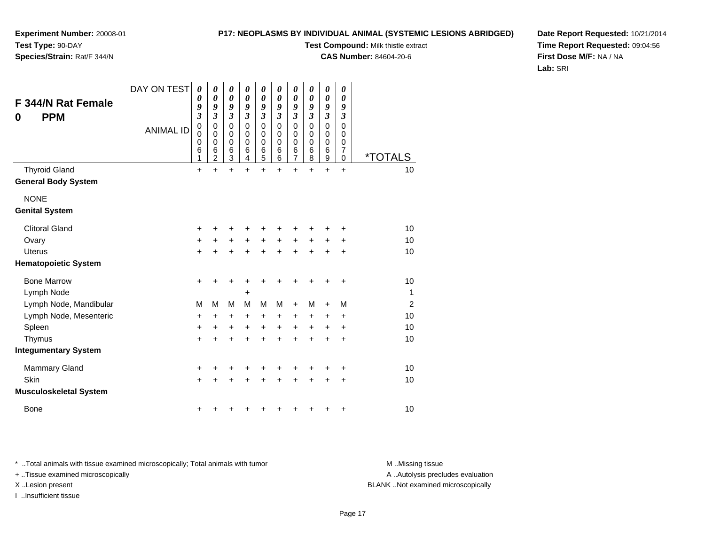# **P17: NEOPLASMS BY INDIVIDUAL ANIMAL (SYSTEMIC LESIONS ABRIDGED)**

**Test Compound:** Milk thistle extract

**CAS Number:** 84604-20-6

**Date Report Requested:** 10/21/2014**Time Report Requested:** 09:04:56**First Dose M/F:** NA / NA**Lab:** SRI

| F 344/N Rat Female<br><b>PPM</b><br>0 | DAY ON TEST<br><b>ANIMAL ID</b> | 0<br>0<br>9<br>$\overline{\mathbf{3}}$<br>$\mathbf 0$<br>0<br>0<br>6 | 0<br>$\boldsymbol{\theta}$<br>9<br>3<br>$\mathbf 0$<br>0<br>$\mathbf 0$<br>6 | 0<br>$\boldsymbol{\theta}$<br>9<br>$\mathfrak{z}$<br>$\mathbf 0$<br>0<br>$\mathbf 0$<br>6 | 0<br>$\boldsymbol{\theta}$<br>9<br>$\mathfrak{z}$<br>$\mathbf 0$<br>0<br>$\mathbf 0$<br>6 | 0<br>$\boldsymbol{\theta}$<br>9<br>$\mathfrak{z}$<br>$\mathbf 0$<br>0<br>$\mathbf 0$<br>6<br>5 | 0<br>0<br>9<br>$\mathfrak{z}$<br>$\mathbf 0$<br>0<br>$\mathbf 0$<br>6 | 0<br>0<br>9<br>$\mathfrak{z}$<br>$\pmb{0}$<br>0<br>$\pmb{0}$<br>$\frac{6}{7}$ | 0<br>0<br>9<br>3<br>$\mathbf 0$<br>$\Omega$<br>0<br>6 | 0<br>$\boldsymbol{\theta}$<br>9<br>3<br>$\mathbf 0$<br>0<br>0<br>6 | 0<br>0<br>9<br>3<br>$\mathbf 0$<br>0<br>0<br>7 |                             |
|---------------------------------------|---------------------------------|----------------------------------------------------------------------|------------------------------------------------------------------------------|-------------------------------------------------------------------------------------------|-------------------------------------------------------------------------------------------|------------------------------------------------------------------------------------------------|-----------------------------------------------------------------------|-------------------------------------------------------------------------------|-------------------------------------------------------|--------------------------------------------------------------------|------------------------------------------------|-----------------------------|
| <b>Thyroid Gland</b>                  |                                 | 1<br>$\ddot{}$                                                       | $\overline{c}$<br>$\ddot{}$                                                  | 3<br>$\ddot{}$                                                                            | 4<br>$\ddot{}$                                                                            | $\ddot{}$                                                                                      | 6<br>$\ddot{}$                                                        | $\ddot{}$                                                                     | 8<br>$\ddot{}$                                        | $\overline{9}$<br>$\ddot{}$                                        | 0<br>$\ddot{}$                                 | <i><b>*TOTALS</b></i><br>10 |
| <b>General Body System</b>            |                                 |                                                                      |                                                                              |                                                                                           |                                                                                           |                                                                                                |                                                                       |                                                                               |                                                       |                                                                    |                                                |                             |
| <b>NONE</b>                           |                                 |                                                                      |                                                                              |                                                                                           |                                                                                           |                                                                                                |                                                                       |                                                                               |                                                       |                                                                    |                                                |                             |
| <b>Genital System</b>                 |                                 |                                                                      |                                                                              |                                                                                           |                                                                                           |                                                                                                |                                                                       |                                                                               |                                                       |                                                                    |                                                |                             |
| <b>Clitoral Gland</b>                 |                                 | +                                                                    | ٠                                                                            | +                                                                                         |                                                                                           |                                                                                                |                                                                       | +                                                                             | +                                                     | +                                                                  | +                                              | 10                          |
| Ovary                                 |                                 | +                                                                    | +                                                                            | +                                                                                         | +                                                                                         | $\ddot{}$                                                                                      | +                                                                     | +                                                                             | +                                                     | +                                                                  | +                                              | 10                          |
| Uterus                                |                                 | $\ddot{}$                                                            |                                                                              | $\ddot{}$                                                                                 | $\ddot{}$                                                                                 | $\ddot{}$                                                                                      |                                                                       | $\ddot{}$                                                                     | $\ddot{}$                                             | $\ddot{}$                                                          | $\ddot{}$                                      | 10                          |
| <b>Hematopoietic System</b>           |                                 |                                                                      |                                                                              |                                                                                           |                                                                                           |                                                                                                |                                                                       |                                                                               |                                                       |                                                                    |                                                |                             |
| <b>Bone Marrow</b>                    |                                 | +                                                                    | +                                                                            | +                                                                                         | +                                                                                         | +                                                                                              |                                                                       | +                                                                             | +                                                     | +                                                                  | $\ddot{}$                                      | 10                          |
| Lymph Node                            |                                 |                                                                      |                                                                              |                                                                                           | +                                                                                         |                                                                                                |                                                                       |                                                                               |                                                       |                                                                    |                                                | $\mathbf{1}$                |
| Lymph Node, Mandibular                |                                 | M                                                                    | М                                                                            | M                                                                                         | M                                                                                         | M                                                                                              | м                                                                     | $\ddot{}$                                                                     | M                                                     | $\ddot{}$                                                          | M                                              | $\overline{2}$              |
| Lymph Node, Mesenteric                |                                 | +                                                                    | +                                                                            | $\ddot{}$                                                                                 | +                                                                                         | +                                                                                              | $\ddot{}$                                                             | +                                                                             | +                                                     | +                                                                  | +                                              | 10                          |
| Spleen                                |                                 | $\ddot{}$                                                            | $\ddot{}$                                                                    | $\ddot{}$                                                                                 | $\ddot{}$                                                                                 | $\ddot{}$                                                                                      | +                                                                     | $\ddot{}$                                                                     | $\ddot{}$                                             | +                                                                  | $\ddot{}$                                      | 10                          |
| Thymus                                |                                 | $\ddot{}$                                                            | $\ddot{}$                                                                    | $\ddot{}$                                                                                 | $\ddot{}$                                                                                 | $\ddot{}$                                                                                      | $\ddot{}$                                                             | $\ddot{}$                                                                     | $\ddot{}$                                             | $\ddot{}$                                                          | $\ddot{}$                                      | 10                          |
| <b>Integumentary System</b>           |                                 |                                                                      |                                                                              |                                                                                           |                                                                                           |                                                                                                |                                                                       |                                                                               |                                                       |                                                                    |                                                |                             |
| <b>Mammary Gland</b>                  |                                 | +                                                                    |                                                                              | +                                                                                         |                                                                                           |                                                                                                |                                                                       |                                                                               |                                                       | +                                                                  | +                                              | 10                          |
| Skin                                  |                                 | $\ddot{}$                                                            | +                                                                            | +                                                                                         |                                                                                           |                                                                                                |                                                                       | $\ddot{}$                                                                     | $\ddot{}$                                             | +                                                                  | $\pm$                                          | 10                          |
| <b>Musculoskeletal System</b>         |                                 |                                                                      |                                                                              |                                                                                           |                                                                                           |                                                                                                |                                                                       |                                                                               |                                                       |                                                                    |                                                |                             |
| <b>Bone</b>                           |                                 | +                                                                    |                                                                              |                                                                                           |                                                                                           |                                                                                                |                                                                       | +                                                                             | +                                                     | +                                                                  | +                                              | 10                          |

\* ..Total animals with tissue examined microscopically; Total animals with tumor **M** . Missing tissue M ..Missing tissue

+ ..Tissue examined microscopically

I ..Insufficient tissue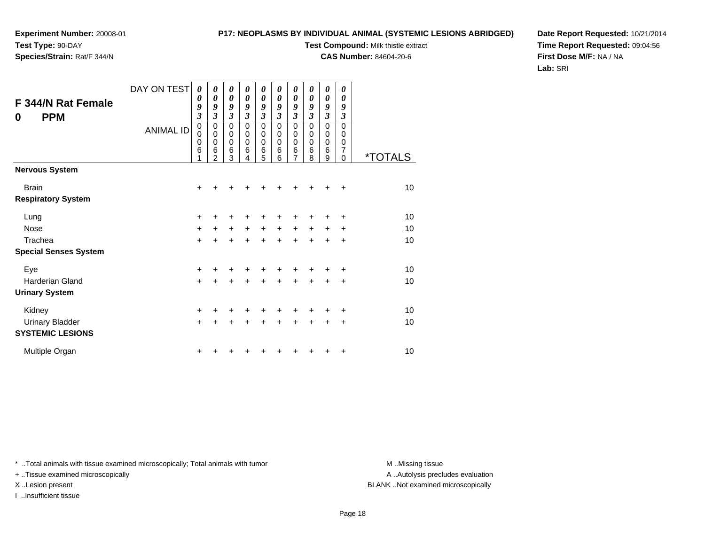# **P17: NEOPLASMS BY INDIVIDUAL ANIMAL (SYSTEMIC LESIONS ABRIDGED)**

**Test Compound:** Milk thistle extract

**CAS Number:** 84604-20-6

**Date Report Requested:** 10/21/2014**Time Report Requested:** 09:04:56**First Dose M/F:** NA / NA**Lab:** SRI

| F 344/N Rat Female<br><b>PPM</b><br>0     | DAY ON TEST<br><b>ANIMAL ID</b> | $\boldsymbol{\theta}$<br>0<br>9<br>$\mathfrak{z}$<br>$\mathbf 0$<br>0<br>$\mathbf 0$<br>6<br>1 | 0<br>$\boldsymbol{\theta}$<br>9<br>3<br>$\mathbf 0$<br>0<br>0<br>6<br>$\mathfrak{p}$ | 0<br>$\boldsymbol{\theta}$<br>9<br>3<br>0<br>0<br>$\mathbf 0$<br>6<br>3 | 0<br>$\pmb{\theta}$<br>9<br>3<br>0<br>0<br>0<br>6<br>4 | 0<br>0<br>9<br>3<br>$\mathbf 0$<br>0<br>0<br>6<br>5 | 0<br>$\boldsymbol{\theta}$<br>9<br>3<br>$\Omega$<br>0<br>$\mathbf 0$<br>6<br>6 | 0<br>$\boldsymbol{\theta}$<br>9<br>$\mathfrak{z}$<br>$\mathbf 0$<br>0<br>$\mathbf 0$<br>6<br>7 | 0<br>0<br>9<br>3<br>$\Omega$<br>0<br>$\mathbf 0$<br>6<br>8 | 0<br>0<br>9<br>$\boldsymbol{\mathfrak{z}}$<br>$\pmb{0}$<br>0<br>$\mathbf 0$<br>6<br>9 | 0<br>0<br>9<br>$\mathfrak{z}$<br>$\mathbf 0$<br>0<br>0<br>$\overline{7}$<br>0 | <i><b>*TOTALS</b></i> |
|-------------------------------------------|---------------------------------|------------------------------------------------------------------------------------------------|--------------------------------------------------------------------------------------|-------------------------------------------------------------------------|--------------------------------------------------------|-----------------------------------------------------|--------------------------------------------------------------------------------|------------------------------------------------------------------------------------------------|------------------------------------------------------------|---------------------------------------------------------------------------------------|-------------------------------------------------------------------------------|-----------------------|
| <b>Nervous System</b>                     |                                 |                                                                                                |                                                                                      |                                                                         |                                                        |                                                     |                                                                                |                                                                                                |                                                            |                                                                                       |                                                                               |                       |
| <b>Brain</b><br><b>Respiratory System</b> |                                 | $\ddot{}$                                                                                      |                                                                                      |                                                                         |                                                        |                                                     |                                                                                |                                                                                                |                                                            |                                                                                       | ÷                                                                             | 10                    |
| Lung                                      |                                 | $\pm$                                                                                          |                                                                                      |                                                                         |                                                        |                                                     |                                                                                |                                                                                                |                                                            |                                                                                       | ٠                                                                             | 10                    |
| Nose                                      |                                 | $\ddot{}$                                                                                      | +                                                                                    | $\pm$                                                                   | $\ddot{}$                                              | $\ddot{}$                                           | $\ddot{}$                                                                      | $\ddot{}$                                                                                      | $\pm$                                                      |                                                                                       | ÷                                                                             | 10                    |
| Trachea                                   |                                 | $\ddot{}$                                                                                      |                                                                                      | $\div$                                                                  | ÷                                                      | $\ddot{}$                                           | $\ddot{}$                                                                      | $\ddot{}$                                                                                      | $\ddot{}$                                                  | $\ddot{}$                                                                             | $\ddot{}$                                                                     | 10                    |
| <b>Special Senses System</b>              |                                 |                                                                                                |                                                                                      |                                                                         |                                                        |                                                     |                                                                                |                                                                                                |                                                            |                                                                                       |                                                                               |                       |
| Eye                                       |                                 | +                                                                                              |                                                                                      |                                                                         |                                                        |                                                     |                                                                                |                                                                                                |                                                            |                                                                                       | +                                                                             | 10                    |
| Harderian Gland                           |                                 | $\ddot{}$                                                                                      |                                                                                      | +                                                                       | +                                                      | $\ddot{}$                                           | $\ddot{}$                                                                      | $\ddot{}$                                                                                      | $\ddot{}$                                                  | $\ddot{}$                                                                             | $\ddot{}$                                                                     | 10                    |
| <b>Urinary System</b>                     |                                 |                                                                                                |                                                                                      |                                                                         |                                                        |                                                     |                                                                                |                                                                                                |                                                            |                                                                                       |                                                                               |                       |
| Kidney                                    |                                 | $\ddot{}$                                                                                      |                                                                                      |                                                                         |                                                        |                                                     |                                                                                | +                                                                                              |                                                            |                                                                                       | +                                                                             | 10                    |
| <b>Urinary Bladder</b>                    |                                 | $\ddot{}$                                                                                      | +                                                                                    | $\ddot{}$                                                               | $\ddot{}$                                              | $\ddot{}$                                           | $\ddot{}$                                                                      | $\ddot{}$                                                                                      | $\ddot{}$                                                  | $\ddot{}$                                                                             | +                                                                             | 10                    |
| <b>SYSTEMIC LESIONS</b>                   |                                 |                                                                                                |                                                                                      |                                                                         |                                                        |                                                     |                                                                                |                                                                                                |                                                            |                                                                                       |                                                                               |                       |
| Multiple Organ                            |                                 | +                                                                                              |                                                                                      |                                                                         |                                                        |                                                     |                                                                                |                                                                                                |                                                            |                                                                                       | +                                                                             | 10                    |

\* ..Total animals with tissue examined microscopically; Total animals with tumor **M** . Missing tissue M ..Missing tissue

+ ..Tissue examined microscopically

I ..Insufficient tissue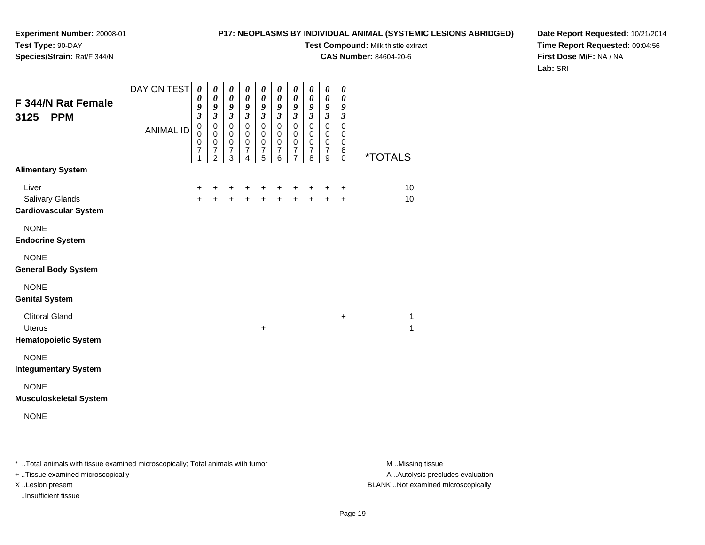# **P17: NEOPLASMS BY INDIVIDUAL ANIMAL (SYSTEMIC LESIONS ABRIDGED)**

**Test Compound:** Milk thistle extract

**CAS Number:** 84604-20-6

**Date Report Requested:** 10/21/2014**Time Report Requested:** 09:04:56**First Dose M/F:** NA / NA**Lab:** SRI

| F 344/N Rat Female<br>3125<br><b>PPM</b>                              | DAY ON TEST<br><b>ANIMAL ID</b> | $\boldsymbol{\theta}$<br>$\boldsymbol{\theta}$<br>9<br>$\overline{\mathbf{3}}$<br>$\pmb{0}$<br>$\pmb{0}$<br>$\pmb{0}$ | $\boldsymbol{\theta}$<br>$\boldsymbol{\theta}$<br>$\boldsymbol{g}$<br>$\mathfrak{z}$<br>$\mathbf 0$<br>$\mathbf 0$<br>$\mathbf 0$ | $\pmb{\theta}$<br>$\boldsymbol{\theta}$<br>9<br>$\boldsymbol{\mathfrak{z}}$<br>$\mathbf 0$<br>0<br>$\pmb{0}$ | 0<br>$\boldsymbol{\theta}$<br>9<br>$\mathfrak{z}$<br>$\mathbf 0$<br>$\mathbf 0$<br>$\pmb{0}$ | 0<br>$\boldsymbol{\theta}$<br>9<br>$\mathfrak{z}$<br>$\mathbf 0$<br>$\pmb{0}$<br>$\pmb{0}$ | 0<br>$\boldsymbol{\theta}$<br>$\boldsymbol{g}$<br>$\mathfrak{z}$<br>$\overline{0}$<br>0<br>$\mathbf 0$ | 0<br>$\boldsymbol{\theta}$<br>9<br>$\mathfrak{z}$<br>$\overline{0}$<br>$\mathbf 0$<br>$\pmb{0}$ | 0<br>$\pmb{\theta}$<br>9<br>$\boldsymbol{\mathfrak{z}}$<br>$\overline{0}$<br>$\mathbf 0$<br>$\mathbf 0$ | 0<br>$\boldsymbol{\theta}$<br>9<br>$\mathfrak{z}$<br>$\mathbf 0$<br>$\mathbf 0$<br>$\pmb{0}$ | 0<br>0<br>9<br>$\boldsymbol{\mathfrak{z}}$<br>$\mathbf 0$<br>0<br>$\pmb{0}$ |                       |
|-----------------------------------------------------------------------|---------------------------------|-----------------------------------------------------------------------------------------------------------------------|-----------------------------------------------------------------------------------------------------------------------------------|--------------------------------------------------------------------------------------------------------------|----------------------------------------------------------------------------------------------|--------------------------------------------------------------------------------------------|--------------------------------------------------------------------------------------------------------|-------------------------------------------------------------------------------------------------|---------------------------------------------------------------------------------------------------------|----------------------------------------------------------------------------------------------|-----------------------------------------------------------------------------|-----------------------|
|                                                                       |                                 | $\overline{7}$<br>$\mathbf{1}$                                                                                        | $\overline{7}$<br>$\overline{2}$                                                                                                  | $\boldsymbol{7}$<br>3                                                                                        | $\overline{7}$<br>4                                                                          | $\boldsymbol{7}$<br>5                                                                      | $\overline{7}$<br>6                                                                                    | $\overline{7}$<br>7                                                                             | $\overline{7}$<br>8                                                                                     | $\boldsymbol{7}$<br>9                                                                        | 8<br>$\mathsf 0$                                                            | <i><b>*TOTALS</b></i> |
| <b>Alimentary System</b>                                              |                                 |                                                                                                                       |                                                                                                                                   |                                                                                                              |                                                                                              |                                                                                            |                                                                                                        |                                                                                                 |                                                                                                         |                                                                                              |                                                                             |                       |
| Liver<br><b>Salivary Glands</b><br><b>Cardiovascular System</b>       |                                 | $\ddot{}$<br>$+$                                                                                                      | +<br>$\ddot{+}$                                                                                                                   | $\ddot{}$<br>$+$                                                                                             | $\ddot{}$<br>$\ddot{+}$                                                                      | +                                                                                          | +<br>$+ +$                                                                                             | +<br>$\ddot{+}$                                                                                 | +<br>$+$                                                                                                | +<br>$+$                                                                                     | $\ddot{}$<br>$\ddot{}$                                                      | 10<br>10              |
| <b>NONE</b><br><b>Endocrine System</b>                                |                                 |                                                                                                                       |                                                                                                                                   |                                                                                                              |                                                                                              |                                                                                            |                                                                                                        |                                                                                                 |                                                                                                         |                                                                                              |                                                                             |                       |
| <b>NONE</b><br><b>General Body System</b>                             |                                 |                                                                                                                       |                                                                                                                                   |                                                                                                              |                                                                                              |                                                                                            |                                                                                                        |                                                                                                 |                                                                                                         |                                                                                              |                                                                             |                       |
| <b>NONE</b><br><b>Genital System</b>                                  |                                 |                                                                                                                       |                                                                                                                                   |                                                                                                              |                                                                                              |                                                                                            |                                                                                                        |                                                                                                 |                                                                                                         |                                                                                              |                                                                             |                       |
| <b>Clitoral Gland</b><br><b>Uterus</b><br><b>Hematopoietic System</b> |                                 |                                                                                                                       |                                                                                                                                   |                                                                                                              |                                                                                              | $\ddot{}$                                                                                  |                                                                                                        |                                                                                                 |                                                                                                         |                                                                                              | $\ddot{}$                                                                   | 1<br>1                |
|                                                                       |                                 |                                                                                                                       |                                                                                                                                   |                                                                                                              |                                                                                              |                                                                                            |                                                                                                        |                                                                                                 |                                                                                                         |                                                                                              |                                                                             |                       |
| <b>NONE</b><br><b>Integumentary System</b>                            |                                 |                                                                                                                       |                                                                                                                                   |                                                                                                              |                                                                                              |                                                                                            |                                                                                                        |                                                                                                 |                                                                                                         |                                                                                              |                                                                             |                       |
| <b>NONE</b><br><b>Musculoskeletal System</b>                          |                                 |                                                                                                                       |                                                                                                                                   |                                                                                                              |                                                                                              |                                                                                            |                                                                                                        |                                                                                                 |                                                                                                         |                                                                                              |                                                                             |                       |
| <b>NONE</b>                                                           |                                 |                                                                                                                       |                                                                                                                                   |                                                                                                              |                                                                                              |                                                                                            |                                                                                                        |                                                                                                 |                                                                                                         |                                                                                              |                                                                             |                       |

\* ..Total animals with tissue examined microscopically; Total animals with tumor **M** . Missing tissue M ..Missing tissue

+ ..Tissue examined microscopically

I ..Insufficient tissue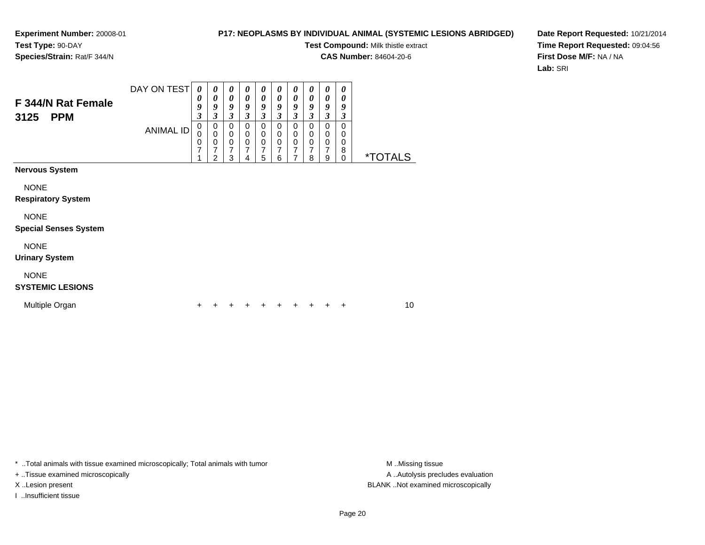### **P17: NEOPLASMS BY INDIVIDUAL ANIMAL (SYSTEMIC LESIONS ABRIDGED)**

**Test Compound:** Milk thistle extract

**CAS Number:** 84604-20-6

**Date Report Requested:** 10/21/2014**Time Report Requested:** 09:04:56**First Dose M/F:** NA / NA**Lab:** SRI

| F 344/N Rat Female<br><b>PPM</b><br>3125 | DAY ON TEST<br><b>ANIMAL ID</b> | $\boldsymbol{\theta}$<br>0<br>9<br>3<br>$\mathbf 0$<br>0<br>0<br>7 | $\boldsymbol{\theta}$<br>$\boldsymbol{\theta}$<br>9<br>$\boldsymbol{\beta}$<br>$\,0\,$<br>$\pmb{0}$<br>$\mathbf 0$<br>7<br>$\overline{2}$ | 0<br>$\boldsymbol{\theta}$<br>9<br>3<br>$\mathbf 0$<br>$\mathbf 0$<br>$\mathbf 0$<br>7<br>3 | 0<br>$\boldsymbol{\theta}$<br>9<br>$\boldsymbol{\mathfrak{z}}$<br>$\mathbf 0$<br>$\mathbf 0$<br>$\pmb{0}$<br>7<br>4 | 0<br>0<br>9<br>$\boldsymbol{\beta}$<br>$\mathbf 0$<br>0<br>$\mathbf 0$<br>7<br>5 | 0<br>0<br>9<br>3<br>0<br>0<br>$\mathbf 0$<br>7<br>6 | 0<br>$\boldsymbol{\theta}$<br>9<br>3<br>$\Omega$<br>0<br>$\mathbf 0$<br>7<br>7 | 0<br>0<br>9<br>$\mathfrak{z}$<br>$\mathbf 0$<br>0<br>$\mathbf 0$<br>7<br>8 | 0<br>$\boldsymbol{\theta}$<br>9<br>$\mathfrak{z}$<br>$\mathbf 0$<br>0<br>$\mathbf 0$<br>$\overline{7}$<br>9 | 0<br>0<br>9<br>$\boldsymbol{\beta}$<br>$\mathbf 0$<br>0<br>$\mathbf 0$<br>8<br>$\mathbf 0$ | <i><b>*TOTALS</b></i> |  |
|------------------------------------------|---------------------------------|--------------------------------------------------------------------|-------------------------------------------------------------------------------------------------------------------------------------------|---------------------------------------------------------------------------------------------|---------------------------------------------------------------------------------------------------------------------|----------------------------------------------------------------------------------|-----------------------------------------------------|--------------------------------------------------------------------------------|----------------------------------------------------------------------------|-------------------------------------------------------------------------------------------------------------|--------------------------------------------------------------------------------------------|-----------------------|--|
| <b>Nervous System</b>                    |                                 |                                                                    |                                                                                                                                           |                                                                                             |                                                                                                                     |                                                                                  |                                                     |                                                                                |                                                                            |                                                                                                             |                                                                                            |                       |  |
| <b>NONE</b>                              |                                 |                                                                    |                                                                                                                                           |                                                                                             |                                                                                                                     |                                                                                  |                                                     |                                                                                |                                                                            |                                                                                                             |                                                                                            |                       |  |
| <b>Respiratory System</b>                |                                 |                                                                    |                                                                                                                                           |                                                                                             |                                                                                                                     |                                                                                  |                                                     |                                                                                |                                                                            |                                                                                                             |                                                                                            |                       |  |
| <b>NONE</b>                              |                                 |                                                                    |                                                                                                                                           |                                                                                             |                                                                                                                     |                                                                                  |                                                     |                                                                                |                                                                            |                                                                                                             |                                                                                            |                       |  |
| <b>Special Senses System</b>             |                                 |                                                                    |                                                                                                                                           |                                                                                             |                                                                                                                     |                                                                                  |                                                     |                                                                                |                                                                            |                                                                                                             |                                                                                            |                       |  |
| <b>NONE</b>                              |                                 |                                                                    |                                                                                                                                           |                                                                                             |                                                                                                                     |                                                                                  |                                                     |                                                                                |                                                                            |                                                                                                             |                                                                                            |                       |  |
| <b>Urinary System</b>                    |                                 |                                                                    |                                                                                                                                           |                                                                                             |                                                                                                                     |                                                                                  |                                                     |                                                                                |                                                                            |                                                                                                             |                                                                                            |                       |  |
| <b>NONE</b>                              |                                 |                                                                    |                                                                                                                                           |                                                                                             |                                                                                                                     |                                                                                  |                                                     |                                                                                |                                                                            |                                                                                                             |                                                                                            |                       |  |
| <b>SYSTEMIC LESIONS</b>                  |                                 |                                                                    |                                                                                                                                           |                                                                                             |                                                                                                                     |                                                                                  |                                                     |                                                                                |                                                                            |                                                                                                             |                                                                                            |                       |  |
| Multiple Organ                           |                                 | ÷                                                                  |                                                                                                                                           |                                                                                             |                                                                                                                     |                                                                                  |                                                     |                                                                                |                                                                            |                                                                                                             | ÷                                                                                          | 10                    |  |

\* ..Total animals with tissue examined microscopically; Total animals with tumor **M** . Missing tissue M ..Missing tissue

+ ..Tissue examined microscopically

I ..Insufficient tissue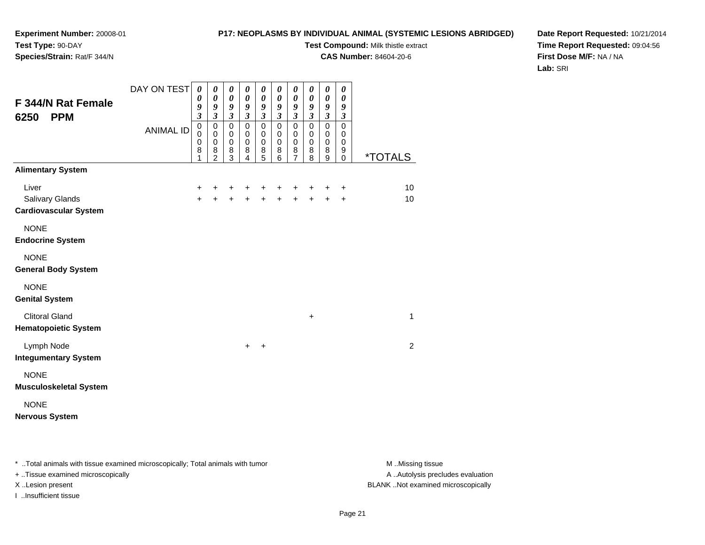# **P17: NEOPLASMS BY INDIVIDUAL ANIMAL (SYSTEMIC LESIONS ABRIDGED)**

**Test Compound:** Milk thistle extract

**CAS Number:** 84604-20-6

**Date Report Requested:** 10/21/2014**Time Report Requested:** 09:04:56**First Dose M/F:** NA / NA**Lab:** SRI

| F 344/N Rat Female<br><b>PPM</b><br>6250                 | DAY ON TEST<br><b>ANIMAL ID</b> | 0<br>0<br>9<br>$\overline{\mathbf{3}}$<br>$\mathbf 0$<br>$\mathbf 0$<br>$\pmb{0}$<br>8<br>1 | 0<br>0<br>9<br>$\mathfrak{z}$<br>$\pmb{0}$<br>0<br>$\pmb{0}$<br>8<br>$\overline{2}$ | 0<br>$\boldsymbol{\theta}$<br>9<br>$\mathfrak{z}$<br>$\pmb{0}$<br>0<br>$\pmb{0}$<br>8<br>3 | 0<br>0<br>9<br>$\mathfrak{z}$<br>$\mathbf 0$<br>0<br>$\mathbf 0$<br>8<br>4 | 0<br>0<br>9<br>$\boldsymbol{\beta}$<br>$\pmb{0}$<br>0<br>$\mathbf 0$<br>$\begin{array}{c} 8 \\ 5 \end{array}$ | 0<br>0<br>9<br>$\overline{3}$<br>$\mathbf 0$<br>0<br>$\pmb{0}$<br>8<br>6 | 0<br>$\boldsymbol{\theta}$<br>9<br>$\mathfrak{z}$<br>$\pmb{0}$<br>0<br>$\pmb{0}$<br>8<br>$\overline{7}$ | $\pmb{\theta}$<br>$\boldsymbol{\theta}$<br>9<br>$\mathfrak{z}$<br>$\mathbf 0$<br>$\mathbf 0$<br>$\mathbf 0$<br>8<br>8 | $\pmb{\theta}$<br>0<br>9<br>$\mathfrak{z}$<br>$\pmb{0}$<br>0<br>$\pmb{0}$<br>8<br>9 | 0<br>0<br>$\boldsymbol{9}$<br>$\boldsymbol{\beta}$<br>$\mathbf 0$<br>$\mathbf 0$<br>$\mathbf 0$<br>9<br>$\mathbf 0$ | <i><b>*TOTALS</b></i> |
|----------------------------------------------------------|---------------------------------|---------------------------------------------------------------------------------------------|-------------------------------------------------------------------------------------|--------------------------------------------------------------------------------------------|----------------------------------------------------------------------------|---------------------------------------------------------------------------------------------------------------|--------------------------------------------------------------------------|---------------------------------------------------------------------------------------------------------|-----------------------------------------------------------------------------------------------------------------------|-------------------------------------------------------------------------------------|---------------------------------------------------------------------------------------------------------------------|-----------------------|
| <b>Alimentary System</b>                                 |                                 |                                                                                             |                                                                                     |                                                                                            |                                                                            |                                                                                                               |                                                                          |                                                                                                         |                                                                                                                       |                                                                                     |                                                                                                                     |                       |
| Liver<br>Salivary Glands<br><b>Cardiovascular System</b> |                                 | +<br>$\ddot{}$                                                                              | +                                                                                   | +<br>$+$                                                                                   | +<br>$\ddot{}$                                                             | +<br>$\ddot{}$                                                                                                | +<br>$\ddot{}$                                                           | +<br>$\ddot{}$                                                                                          | $\ddot{+}$                                                                                                            | +<br>$+$                                                                            | $\ddot{}$<br>$\ddot{}$                                                                                              | 10<br>10              |
| <b>NONE</b><br><b>Endocrine System</b>                   |                                 |                                                                                             |                                                                                     |                                                                                            |                                                                            |                                                                                                               |                                                                          |                                                                                                         |                                                                                                                       |                                                                                     |                                                                                                                     |                       |
| <b>NONE</b><br><b>General Body System</b>                |                                 |                                                                                             |                                                                                     |                                                                                            |                                                                            |                                                                                                               |                                                                          |                                                                                                         |                                                                                                                       |                                                                                     |                                                                                                                     |                       |
| <b>NONE</b><br><b>Genital System</b>                     |                                 |                                                                                             |                                                                                     |                                                                                            |                                                                            |                                                                                                               |                                                                          |                                                                                                         |                                                                                                                       |                                                                                     |                                                                                                                     |                       |
| <b>Clitoral Gland</b><br><b>Hematopoietic System</b>     |                                 |                                                                                             |                                                                                     |                                                                                            |                                                                            |                                                                                                               |                                                                          |                                                                                                         | $\ddot{}$                                                                                                             |                                                                                     |                                                                                                                     | 1                     |
| Lymph Node<br><b>Integumentary System</b>                |                                 |                                                                                             |                                                                                     |                                                                                            | $\ddot{}$                                                                  | $\ddot{}$                                                                                                     |                                                                          |                                                                                                         |                                                                                                                       |                                                                                     |                                                                                                                     | $\overline{2}$        |
| <b>NONE</b><br><b>Musculoskeletal System</b>             |                                 |                                                                                             |                                                                                     |                                                                                            |                                                                            |                                                                                                               |                                                                          |                                                                                                         |                                                                                                                       |                                                                                     |                                                                                                                     |                       |
| <b>NONE</b><br><b>Nervous System</b>                     |                                 |                                                                                             |                                                                                     |                                                                                            |                                                                            |                                                                                                               |                                                                          |                                                                                                         |                                                                                                                       |                                                                                     |                                                                                                                     |                       |

\* ..Total animals with tissue examined microscopically; Total animals with tumor **M** . Missing tissue M ..Missing tissue

+ ..Tissue examined microscopically

I ..Insufficient tissue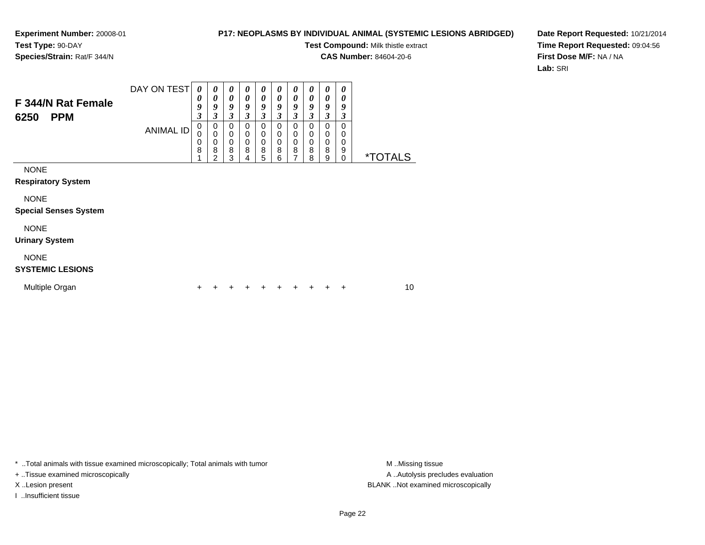### **P17: NEOPLASMS BY INDIVIDUAL ANIMAL (SYSTEMIC LESIONS ABRIDGED)**

**Test Compound:** Milk thistle extract

**CAS Number:** 84604-20-6

**Date Report Requested:** 10/21/2014**Time Report Requested:** 09:04:56**First Dose M/F:** NA / NA**Lab:** SRI

| F 344/N Rat Female<br><b>PPM</b><br>6250    | DAY ON TEST<br><b>ANIMAL ID</b> | 0<br>0<br>9<br>3<br>0<br>0<br>0<br>8 | 0<br>0<br>9<br>3<br>0<br>$\mathbf 0$<br>0<br>8<br>$\overline{2}$ | 0<br>0<br>9<br>3<br>0<br>$\mathbf 0$<br>0<br>8<br>3 | 0<br>0<br>9<br>3<br>0<br>$\mathbf 0$<br>$\mathbf 0$<br>8<br>4 | 0<br>0<br>9<br>$\boldsymbol{\beta}$<br>0<br>$\mathbf 0$<br>$\mathbf 0$<br>8<br>5 | $\boldsymbol{\theta}$<br>$\boldsymbol{\theta}$<br>9<br>$\mathfrak{z}$<br>0<br>$\pmb{0}$<br>$\pmb{0}$<br>8<br>6 | 0<br>0<br>9<br>3<br>0<br>0<br>$\mathbf 0$<br>8<br>7 | 0<br>0<br>9<br>$\boldsymbol{\mathfrak{z}}$<br>0<br>$\,0\,$<br>$\pmb{0}$<br>$\bf8$<br>8 | 0<br>0<br>9<br>3<br>0<br>0<br>0<br>8<br>9 | $\boldsymbol{\theta}$<br>0<br>9<br>3<br>0<br>0<br>0<br>9<br>0 | <i><b>*TOTALS</b></i> |  |
|---------------------------------------------|---------------------------------|--------------------------------------|------------------------------------------------------------------|-----------------------------------------------------|---------------------------------------------------------------|----------------------------------------------------------------------------------|----------------------------------------------------------------------------------------------------------------|-----------------------------------------------------|----------------------------------------------------------------------------------------|-------------------------------------------|---------------------------------------------------------------|-----------------------|--|
| <b>NONE</b><br><b>Respiratory System</b>    |                                 |                                      |                                                                  |                                                     |                                                               |                                                                                  |                                                                                                                |                                                     |                                                                                        |                                           |                                                               |                       |  |
| <b>NONE</b><br><b>Special Senses System</b> |                                 |                                      |                                                                  |                                                     |                                                               |                                                                                  |                                                                                                                |                                                     |                                                                                        |                                           |                                                               |                       |  |
| <b>NONE</b><br><b>Urinary System</b>        |                                 |                                      |                                                                  |                                                     |                                                               |                                                                                  |                                                                                                                |                                                     |                                                                                        |                                           |                                                               |                       |  |
| <b>NONE</b><br><b>SYSTEMIC LESIONS</b>      |                                 |                                      |                                                                  |                                                     |                                                               |                                                                                  |                                                                                                                |                                                     |                                                                                        |                                           |                                                               |                       |  |
| Multiple Organ                              |                                 | ÷                                    |                                                                  |                                                     |                                                               |                                                                                  |                                                                                                                |                                                     |                                                                                        | ٠                                         | +                                                             | 10                    |  |

\* ..Total animals with tissue examined microscopically; Total animals with tumor **M** . Missing tissue M ..Missing tissue

+ ..Tissue examined microscopically

I ..Insufficient tissue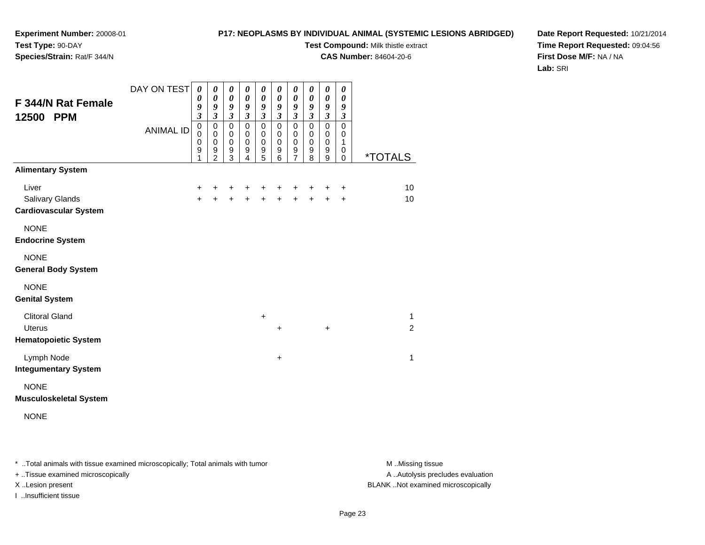# **P17: NEOPLASMS BY INDIVIDUAL ANIMAL (SYSTEMIC LESIONS ABRIDGED)**

**Test Compound:** Milk thistle extract

**CAS Number:** 84604-20-6

**Date Report Requested:** 10/21/2014**Time Report Requested:** 09:04:56**First Dose M/F:** NA / NA**Lab:** SRI

| F 344/N Rat Female<br>12500 PPM                                       | DAY ON TEST<br><b>ANIMAL ID</b> | $\boldsymbol{\theta}$<br>0<br>9<br>$\overline{\mathbf{3}}$<br>$\pmb{0}$<br>$\mathbf 0$<br>$\mathbf 0$<br>$\boldsymbol{9}$<br>1 | 0<br>$\boldsymbol{\theta}$<br>9<br>$\mathfrak{z}$<br>$\mathbf 0$<br>$\mathbf 0$<br>$\boldsymbol{0}$<br>$\boldsymbol{9}$<br>$\overline{2}$ | 0<br>$\boldsymbol{\theta}$<br>9<br>$\mathfrak{z}$<br>$\mathbf 0$<br>$\mathbf 0$<br>$\mathbf 0$<br>$\boldsymbol{9}$<br>3 | $\boldsymbol{\theta}$<br>$\boldsymbol{\theta}$<br>9<br>$\boldsymbol{\beta}$<br>$\mathbf 0$<br>$\mathbf 0$<br>$\pmb{0}$<br>$\boldsymbol{9}$<br>4 | 0<br>$\boldsymbol{\theta}$<br>9<br>$\boldsymbol{\beta}$<br>$\pmb{0}$<br>$\,0\,$<br>$\pmb{0}$<br>$\boldsymbol{9}$<br>5 | 0<br>$\boldsymbol{\theta}$<br>9<br>$\boldsymbol{\mathfrak{z}}$<br>$\mathsf 0$<br>0<br>$\mathbf 0$<br>$\mathsf g$<br>6 | $\boldsymbol{\theta}$<br>$\boldsymbol{\theta}$<br>9<br>$\boldsymbol{\beta}$<br>$\mathbf 0$<br>$\pmb{0}$<br>$\mathbf 0$<br>9<br>$\overline{7}$ | 0<br>0<br>9<br>$\mathfrak{z}$<br>$\mathbf 0$<br>0<br>$\pmb{0}$<br>$\boldsymbol{9}$<br>8 | 0<br>$\boldsymbol{\theta}$<br>$\boldsymbol{g}$<br>$\mathfrak{z}$<br>$\pmb{0}$<br>$\mathbf 0$<br>$\,0\,$<br>9<br>9 | 0<br>0<br>9<br>$\boldsymbol{\beta}$<br>$\mathbf 0$<br>0<br>1<br>0<br>$\mathbf 0$ | <i><b>*TOTALS</b></i>          |
|-----------------------------------------------------------------------|---------------------------------|--------------------------------------------------------------------------------------------------------------------------------|-------------------------------------------------------------------------------------------------------------------------------------------|-------------------------------------------------------------------------------------------------------------------------|-------------------------------------------------------------------------------------------------------------------------------------------------|-----------------------------------------------------------------------------------------------------------------------|-----------------------------------------------------------------------------------------------------------------------|-----------------------------------------------------------------------------------------------------------------------------------------------|-----------------------------------------------------------------------------------------|-------------------------------------------------------------------------------------------------------------------|----------------------------------------------------------------------------------|--------------------------------|
| <b>Alimentary System</b>                                              |                                 |                                                                                                                                |                                                                                                                                           |                                                                                                                         |                                                                                                                                                 |                                                                                                                       |                                                                                                                       |                                                                                                                                               |                                                                                         |                                                                                                                   |                                                                                  |                                |
| Liver<br><b>Salivary Glands</b><br><b>Cardiovascular System</b>       |                                 | $\ddot{}$<br>$\ddot{}$                                                                                                         | +                                                                                                                                         | +<br>$\ddot{}$                                                                                                          | +<br>$\ddot{}$                                                                                                                                  | +<br>$\ddot{}$                                                                                                        | +<br>$\ddot{}$                                                                                                        | +<br>$\ddot{}$                                                                                                                                | +                                                                                       | +                                                                                                                 | +<br>$\ddot{}$                                                                   | 10<br>10                       |
| <b>NONE</b><br><b>Endocrine System</b>                                |                                 |                                                                                                                                |                                                                                                                                           |                                                                                                                         |                                                                                                                                                 |                                                                                                                       |                                                                                                                       |                                                                                                                                               |                                                                                         |                                                                                                                   |                                                                                  |                                |
| <b>NONE</b><br><b>General Body System</b>                             |                                 |                                                                                                                                |                                                                                                                                           |                                                                                                                         |                                                                                                                                                 |                                                                                                                       |                                                                                                                       |                                                                                                                                               |                                                                                         |                                                                                                                   |                                                                                  |                                |
| <b>NONE</b><br><b>Genital System</b>                                  |                                 |                                                                                                                                |                                                                                                                                           |                                                                                                                         |                                                                                                                                                 |                                                                                                                       |                                                                                                                       |                                                                                                                                               |                                                                                         |                                                                                                                   |                                                                                  |                                |
| <b>Clitoral Gland</b><br><b>Uterus</b><br><b>Hematopoietic System</b> |                                 |                                                                                                                                |                                                                                                                                           |                                                                                                                         |                                                                                                                                                 | $\ddot{}$                                                                                                             | $\ddot{}$                                                                                                             |                                                                                                                                               |                                                                                         | $\ddot{}$                                                                                                         |                                                                                  | $\mathbf{1}$<br>$\overline{2}$ |
| Lymph Node<br><b>Integumentary System</b>                             |                                 |                                                                                                                                |                                                                                                                                           |                                                                                                                         |                                                                                                                                                 |                                                                                                                       | $\ddot{}$                                                                                                             |                                                                                                                                               |                                                                                         |                                                                                                                   |                                                                                  | $\mathbf{1}$                   |
| <b>NONE</b><br><b>Musculoskeletal System</b>                          |                                 |                                                                                                                                |                                                                                                                                           |                                                                                                                         |                                                                                                                                                 |                                                                                                                       |                                                                                                                       |                                                                                                                                               |                                                                                         |                                                                                                                   |                                                                                  |                                |
| <b>NONE</b>                                                           |                                 |                                                                                                                                |                                                                                                                                           |                                                                                                                         |                                                                                                                                                 |                                                                                                                       |                                                                                                                       |                                                                                                                                               |                                                                                         |                                                                                                                   |                                                                                  |                                |

\* ..Total animals with tissue examined microscopically; Total animals with tumor **M** . Missing tissue M ..Missing tissue

+ ..Tissue examined microscopically

I ..Insufficient tissue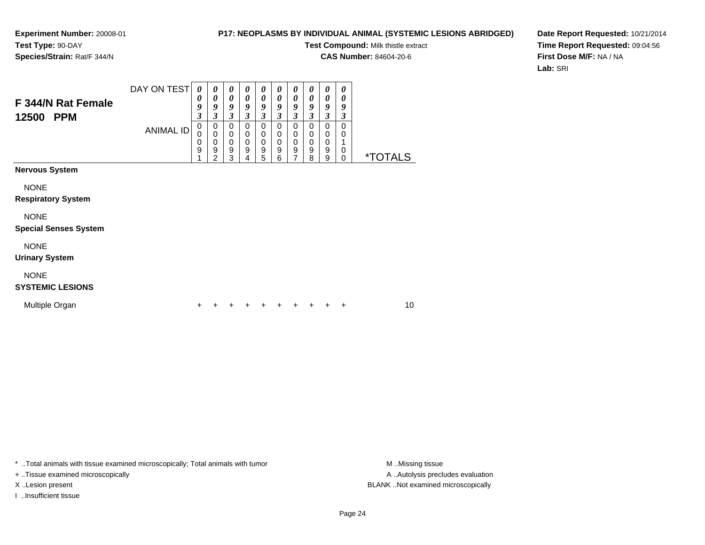### **P17: NEOPLASMS BY INDIVIDUAL ANIMAL (SYSTEMIC LESIONS ABRIDGED)**

**Test Compound:** Milk thistle extract

**CAS Number:** 84604-20-6

**Date Report Requested:** 10/21/2014**Time Report Requested:** 09:04:56**First Dose M/F:** NA / NA**Lab:** SRI

| F 344/N Rat Female<br>12500<br><b>PPM</b> | DAY ON TEST<br><b>ANIMAL ID</b> | 0<br>0<br>9<br>3<br>$\mathbf 0$<br>0<br>0<br>9 | $\boldsymbol{\theta}$<br>$\boldsymbol{\theta}$<br>9<br>$\mathfrak{z}$<br>0<br>$\mathbf 0$<br>$\mathbf 0$<br>$\boldsymbol{9}$<br>$\overline{2}$ | 0<br>0<br>9<br>$\mathfrak{z}$<br>0<br>0<br>0<br>9<br>3 | $\boldsymbol{\theta}$<br>0<br>9<br>$\mathfrak{z}$<br>$\mathbf 0$<br>0<br>0<br>9<br>4 | 0<br>0<br>9<br>3<br>0<br>0<br>0<br>9<br>5 | 0<br>0<br>9<br>$\overline{\mathbf{3}}$<br>0<br>0<br>0<br>9<br>6 | 0<br>0<br>9<br>$\mathfrak{z}$<br>$\Omega$<br>$\mathbf 0$<br>$\mathbf 0$<br>9<br>7 | 0<br>0<br>9<br>$\overline{\mathbf{3}}$<br>$\mathbf 0$<br>$\mathbf 0$<br>$\mathbf 0$<br>$\boldsymbol{9}$<br>8 | 0<br>$\boldsymbol{\theta}$<br>9<br>$\mathfrak{z}$<br>$\pmb{0}$<br>$\mathbf 0$<br>$\mathbf 0$<br>$\boldsymbol{9}$<br>9 | $\boldsymbol{\theta}$<br>0<br>9<br>3<br>$\mathbf 0$<br>$\mathbf 0$<br>0<br>$\mathbf 0$ | <i><b>*TOTALS</b></i> |
|-------------------------------------------|---------------------------------|------------------------------------------------|------------------------------------------------------------------------------------------------------------------------------------------------|--------------------------------------------------------|--------------------------------------------------------------------------------------|-------------------------------------------|-----------------------------------------------------------------|-----------------------------------------------------------------------------------|--------------------------------------------------------------------------------------------------------------|-----------------------------------------------------------------------------------------------------------------------|----------------------------------------------------------------------------------------|-----------------------|
| <b>Nervous System</b>                     |                                 |                                                |                                                                                                                                                |                                                        |                                                                                      |                                           |                                                                 |                                                                                   |                                                                                                              |                                                                                                                       |                                                                                        |                       |
| <b>NONE</b>                               |                                 |                                                |                                                                                                                                                |                                                        |                                                                                      |                                           |                                                                 |                                                                                   |                                                                                                              |                                                                                                                       |                                                                                        |                       |
| <b>Respiratory System</b>                 |                                 |                                                |                                                                                                                                                |                                                        |                                                                                      |                                           |                                                                 |                                                                                   |                                                                                                              |                                                                                                                       |                                                                                        |                       |
| <b>NONE</b>                               |                                 |                                                |                                                                                                                                                |                                                        |                                                                                      |                                           |                                                                 |                                                                                   |                                                                                                              |                                                                                                                       |                                                                                        |                       |
| <b>Special Senses System</b>              |                                 |                                                |                                                                                                                                                |                                                        |                                                                                      |                                           |                                                                 |                                                                                   |                                                                                                              |                                                                                                                       |                                                                                        |                       |
| <b>NONE</b>                               |                                 |                                                |                                                                                                                                                |                                                        |                                                                                      |                                           |                                                                 |                                                                                   |                                                                                                              |                                                                                                                       |                                                                                        |                       |
| <b>Urinary System</b>                     |                                 |                                                |                                                                                                                                                |                                                        |                                                                                      |                                           |                                                                 |                                                                                   |                                                                                                              |                                                                                                                       |                                                                                        |                       |
| <b>NONE</b>                               |                                 |                                                |                                                                                                                                                |                                                        |                                                                                      |                                           |                                                                 |                                                                                   |                                                                                                              |                                                                                                                       |                                                                                        |                       |
| <b>SYSTEMIC LESIONS</b>                   |                                 |                                                |                                                                                                                                                |                                                        |                                                                                      |                                           |                                                                 |                                                                                   |                                                                                                              |                                                                                                                       |                                                                                        |                       |
| Multiple Organ                            |                                 | +                                              |                                                                                                                                                |                                                        |                                                                                      |                                           |                                                                 |                                                                                   |                                                                                                              |                                                                                                                       | ÷                                                                                      | 10                    |

\* ..Total animals with tissue examined microscopically; Total animals with tumor **M** . Missing tissue M ..Missing tissue

+ ..Tissue examined microscopically

I ..Insufficient tissue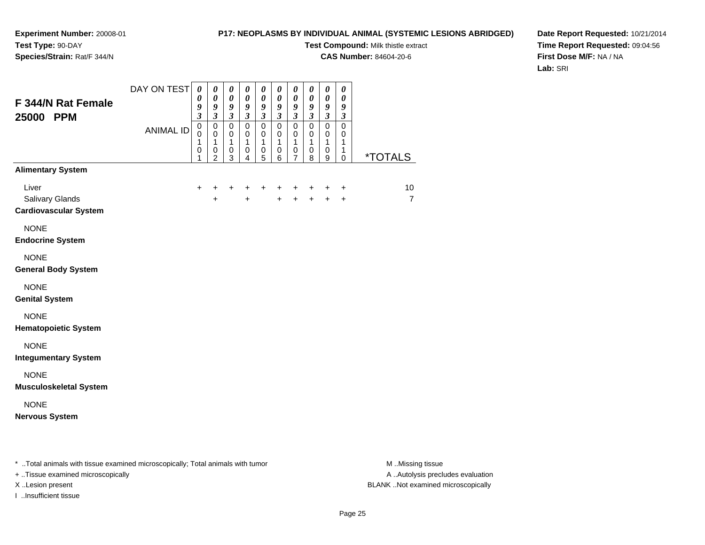# **P17: NEOPLASMS BY INDIVIDUAL ANIMAL (SYSTEMIC LESIONS ABRIDGED)**

**Test Compound:** Milk thistle extract

**CAS Number:** 84604-20-6

**Date Report Requested:** 10/21/2014**Time Report Requested:** 09:04:56**First Dose M/F:** NA / NA**Lab:** SRI

| F 344/N Rat Female<br>25000 PPM                          | DAY ON TEST<br><b>ANIMAL ID</b> | $\boldsymbol{\theta}$<br>0<br>9<br>$\mathfrak{z}$<br>$\mathbf 0$<br>$\mathbf 0$<br>1<br>$\,0\,$<br>1 | $\boldsymbol{\theta}$<br>$\boldsymbol{\theta}$<br>9<br>$\mathfrak{z}$<br>$\pmb{0}$<br>$\mathbf 0$<br>$\mathbf{1}$<br>$\pmb{0}$<br>$\overline{2}$ | 0<br>$\pmb{\theta}$<br>9<br>$\overline{\mathbf{3}}$<br>$\mathsf 0$<br>0<br>$\mathbf{1}$<br>0<br>3 | $\boldsymbol{\theta}$<br>$\boldsymbol{\theta}$<br>$\boldsymbol{g}$<br>$\boldsymbol{\mathfrak{z}}$<br>$\mathsf 0$<br>$\pmb{0}$<br>$\mathbf{1}$<br>0<br>4 | 0<br>$\boldsymbol{\theta}$<br>$\boldsymbol{g}$<br>$\mathfrak{z}$<br>$\mathsf 0$<br>$\pmb{0}$<br>$\mathbf{1}$<br>$\pmb{0}$<br>5 | $\boldsymbol{\theta}$<br>$\pmb{\theta}$<br>$\boldsymbol{g}$<br>$\mathfrak{z}$<br>$\pmb{0}$<br>$\pmb{0}$<br>$\mathbf{1}$<br>0<br>6 | 0<br>$\boldsymbol{\theta}$<br>$\boldsymbol{g}$<br>$\mathfrak{z}$<br>$\mathbf 0$<br>$\pmb{0}$<br>$\mathbf{1}$<br>$\,0\,$<br>$\overline{7}$ | $\boldsymbol{\theta}$<br>$\pmb{\theta}$<br>$\pmb{9}$<br>$\mathfrak{z}$<br>$\mathbf 0$<br>$\mathbf 0$<br>$\mathbf{1}$<br>0<br>8 | 0<br>$\boldsymbol{\theta}$<br>$\boldsymbol{g}$<br>$\mathbf{3}$<br>$\mathbf 0$<br>0<br>$\mathbf{1}$<br>0<br>9 | 0<br>$\boldsymbol{\theta}$<br>9<br>$\boldsymbol{\beta}$<br>$\mathbf 0$<br>0<br>$\mathbf{1}$<br>1<br>0 | <i><b>*TOTALS</b></i> |
|----------------------------------------------------------|---------------------------------|------------------------------------------------------------------------------------------------------|--------------------------------------------------------------------------------------------------------------------------------------------------|---------------------------------------------------------------------------------------------------|---------------------------------------------------------------------------------------------------------------------------------------------------------|--------------------------------------------------------------------------------------------------------------------------------|-----------------------------------------------------------------------------------------------------------------------------------|-------------------------------------------------------------------------------------------------------------------------------------------|--------------------------------------------------------------------------------------------------------------------------------|--------------------------------------------------------------------------------------------------------------|-------------------------------------------------------------------------------------------------------|-----------------------|
| <b>Alimentary System</b>                                 |                                 |                                                                                                      |                                                                                                                                                  |                                                                                                   |                                                                                                                                                         |                                                                                                                                |                                                                                                                                   |                                                                                                                                           |                                                                                                                                |                                                                                                              |                                                                                                       |                       |
| Liver<br>Salivary Glands<br><b>Cardiovascular System</b> |                                 | $\ddot{}$                                                                                            | +<br>$\ddot{}$                                                                                                                                   | $\ddot{}$                                                                                         | $+$                                                                                                                                                     | +                                                                                                                              | +<br>$+$                                                                                                                          | +<br>$\ddot{+}$                                                                                                                           | +<br>$\ddot{+}$                                                                                                                | +<br>$\ddot{+}$                                                                                              | +<br>$+$                                                                                              | 10<br>$\overline{7}$  |
| <b>NONE</b><br><b>Endocrine System</b>                   |                                 |                                                                                                      |                                                                                                                                                  |                                                                                                   |                                                                                                                                                         |                                                                                                                                |                                                                                                                                   |                                                                                                                                           |                                                                                                                                |                                                                                                              |                                                                                                       |                       |
| <b>NONE</b><br><b>General Body System</b>                |                                 |                                                                                                      |                                                                                                                                                  |                                                                                                   |                                                                                                                                                         |                                                                                                                                |                                                                                                                                   |                                                                                                                                           |                                                                                                                                |                                                                                                              |                                                                                                       |                       |
| <b>NONE</b><br><b>Genital System</b>                     |                                 |                                                                                                      |                                                                                                                                                  |                                                                                                   |                                                                                                                                                         |                                                                                                                                |                                                                                                                                   |                                                                                                                                           |                                                                                                                                |                                                                                                              |                                                                                                       |                       |
| <b>NONE</b><br><b>Hematopoietic System</b>               |                                 |                                                                                                      |                                                                                                                                                  |                                                                                                   |                                                                                                                                                         |                                                                                                                                |                                                                                                                                   |                                                                                                                                           |                                                                                                                                |                                                                                                              |                                                                                                       |                       |
| <b>NONE</b><br><b>Integumentary System</b>               |                                 |                                                                                                      |                                                                                                                                                  |                                                                                                   |                                                                                                                                                         |                                                                                                                                |                                                                                                                                   |                                                                                                                                           |                                                                                                                                |                                                                                                              |                                                                                                       |                       |
| <b>NONE</b><br><b>Musculoskeletal System</b>             |                                 |                                                                                                      |                                                                                                                                                  |                                                                                                   |                                                                                                                                                         |                                                                                                                                |                                                                                                                                   |                                                                                                                                           |                                                                                                                                |                                                                                                              |                                                                                                       |                       |
| <b>NONE</b><br><b>Nervous System</b>                     |                                 |                                                                                                      |                                                                                                                                                  |                                                                                                   |                                                                                                                                                         |                                                                                                                                |                                                                                                                                   |                                                                                                                                           |                                                                                                                                |                                                                                                              |                                                                                                       |                       |

\* ..Total animals with tissue examined microscopically; Total animals with tumor **M** . Missing tissue M ..Missing tissue

+ ..Tissue examined microscopically

I ..Insufficient tissue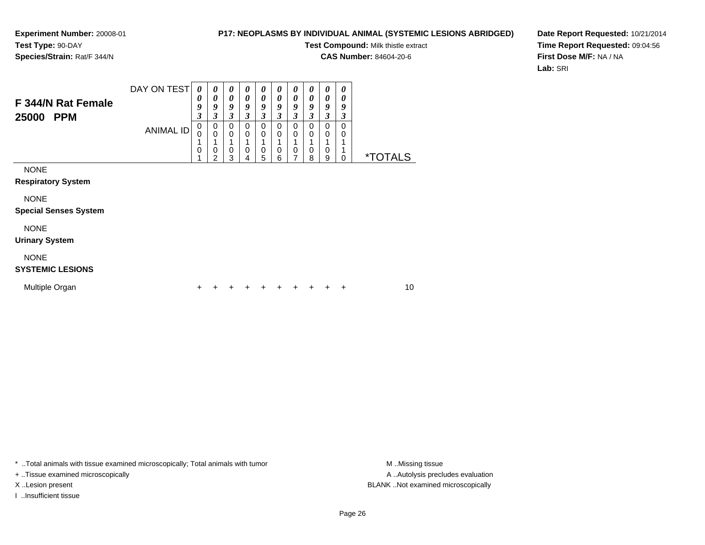# **P17: NEOPLASMS BY INDIVIDUAL ANIMAL (SYSTEMIC LESIONS ABRIDGED)**

**Test Compound:** Milk thistle extract

**CAS Number:** 84604-20-6

**Date Report Requested:** 10/21/2014**Time Report Requested:** 09:04:56**First Dose M/F:** NA / NA**Lab:** SRI

| F 344/N Rat Female<br>25000<br><b>PPM</b>                                               | DAY ON TEST<br>ANIMAL ID | 0<br>0<br>9<br>3<br>0<br>0<br>$\mathbf 0$ | 0<br>$\boldsymbol{\theta}$<br>9<br>3<br>0<br>$\mathbf 0$<br>$\mathbf 0$ | 0<br>0<br>9<br>3<br>0<br>0<br>0 | 0<br>0<br>9<br>3<br>0<br>0<br>0 | 0<br>0<br>9<br>3<br>0<br>0<br>0 | 0<br>0<br>9<br>$\overline{\mathbf{3}}$<br>0<br>0<br>0 | 0<br>0<br>9<br>3<br>0<br>0<br>0<br>7 | 0<br>0<br>9<br>3<br>0<br>0<br>$\mathbf 0$ | 0<br>0<br>9<br>3<br>0<br>0<br>0 | 0<br>0<br>9<br>3<br>0<br>0 | <i><b>*TOTALS</b></i> |    |
|-----------------------------------------------------------------------------------------|--------------------------|-------------------------------------------|-------------------------------------------------------------------------|---------------------------------|---------------------------------|---------------------------------|-------------------------------------------------------|--------------------------------------|-------------------------------------------|---------------------------------|----------------------------|-----------------------|----|
| <b>NONE</b><br><b>Respiratory System</b><br><b>NONE</b><br><b>Special Senses System</b> |                          |                                           | $\overline{2}$                                                          | 3                               | 4                               | 5                               | 6                                                     |                                      | 8                                         | 9                               | 0                          |                       |    |
| <b>NONE</b><br><b>Urinary System</b>                                                    |                          |                                           |                                                                         |                                 |                                 |                                 |                                                       |                                      |                                           |                                 |                            |                       |    |
| <b>NONE</b><br><b>SYSTEMIC LESIONS</b>                                                  |                          |                                           |                                                                         |                                 |                                 |                                 |                                                       |                                      |                                           |                                 |                            |                       |    |
| Multiple Organ                                                                          |                          | +                                         |                                                                         |                                 |                                 |                                 |                                                       |                                      |                                           |                                 | ÷                          |                       | 10 |

\* ..Total animals with tissue examined microscopically; Total animals with tumor **M** . Missing tissue M ..Missing tissue

+ ..Tissue examined microscopically

I ..Insufficient tissue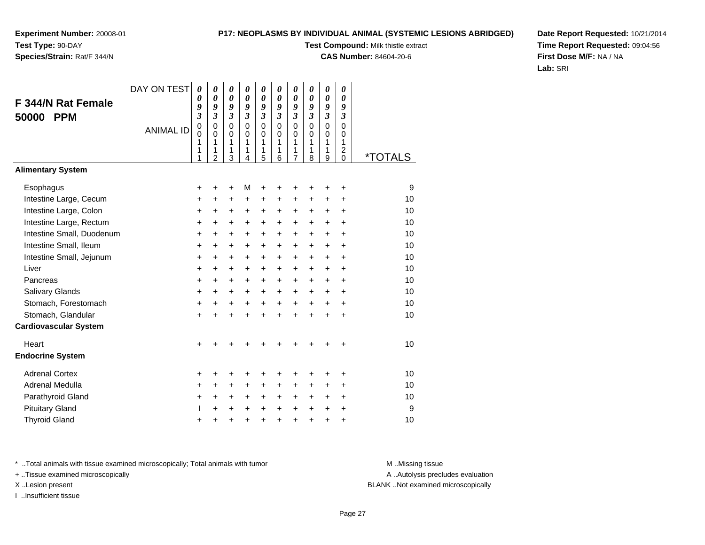# **P17: NEOPLASMS BY INDIVIDUAL ANIMAL (SYSTEMIC LESIONS ABRIDGED)**

**Test Compound:** Milk thistle extract

**CAS Number:** 84604-20-6

**Date Report Requested:** 10/21/2014**Time Report Requested:** 09:04:56**First Dose M/F:** NA / NA**Lab:** SRI

| <b>F 344/N Rat Female</b><br><b>PPM</b> | DAY ON TEST      | $\boldsymbol{\theta}$<br>0<br>9<br>$\overline{\mathbf{3}}$ | $\boldsymbol{\theta}$<br>0<br>9<br>$\mathfrak{z}$   | 0<br>0<br>9<br>$\mathfrak{z}$             | 0<br>$\boldsymbol{\theta}$<br>9<br>$\mathfrak{z}$ | 0<br>0<br>9<br>$\boldsymbol{\mathfrak{z}}$ | 0<br>$\boldsymbol{\theta}$<br>9<br>$\mathfrak{z}$ | 0<br>$\boldsymbol{\theta}$<br>9<br>$\boldsymbol{\beta}$ | 0<br>$\boldsymbol{\theta}$<br>9<br>3   | 0<br>0<br>9<br>$\overline{\mathbf{3}}$ | 0<br>0<br>9<br>$\boldsymbol{\mathfrak{z}}$                    |                       |
|-----------------------------------------|------------------|------------------------------------------------------------|-----------------------------------------------------|-------------------------------------------|---------------------------------------------------|--------------------------------------------|---------------------------------------------------|---------------------------------------------------------|----------------------------------------|----------------------------------------|---------------------------------------------------------------|-----------------------|
| 50000                                   | <b>ANIMAL ID</b> | $\mathbf 0$<br>$\mathbf 0$<br>1<br>1<br>1                  | $\mathbf 0$<br>$\Omega$<br>1<br>1<br>$\overline{2}$ | $\mathbf 0$<br>$\mathbf 0$<br>1<br>1<br>3 | $\mathbf 0$<br>$\Omega$<br>1<br>1<br>4            | $\mathbf 0$<br>0<br>1<br>1<br>5            | $\Omega$<br>$\Omega$<br>1<br>1<br>6               | $\mathbf 0$<br>$\mathbf 0$<br>1<br>1<br>$\overline{7}$  | $\mathbf 0$<br>$\Omega$<br>1<br>1<br>8 | $\overline{0}$<br>0<br>1<br>1<br>9     | $\overline{0}$<br>$\Omega$<br>1<br>$\overline{c}$<br>$\Omega$ | <i><b>*TOTALS</b></i> |
| <b>Alimentary System</b>                |                  |                                                            |                                                     |                                           |                                                   |                                            |                                                   |                                                         |                                        |                                        |                                                               |                       |
| Esophagus                               |                  | +                                                          | +                                                   | +                                         | M                                                 | +                                          | +                                                 | +                                                       |                                        | +                                      | +                                                             | 9                     |
| Intestine Large, Cecum                  |                  | +                                                          | +                                                   | $\ddot{}$                                 | +                                                 | +                                          | +                                                 | +                                                       | +                                      | +                                      | +                                                             | 10                    |
| Intestine Large, Colon                  |                  | +                                                          | $\ddot{}$                                           | +                                         | +                                                 | $\ddot{}$                                  | +                                                 | +                                                       | $\pm$                                  | $\ddot{}$                              | $\ddot{}$                                                     | 10                    |
| Intestine Large, Rectum                 |                  | +                                                          | +                                                   | +                                         | +                                                 | +                                          | +                                                 | +                                                       | $\ddot{}$                              | $\pm$                                  | $\ddot{}$                                                     | 10                    |
| Intestine Small, Duodenum               |                  | +                                                          | $\ddot{}$                                           | $\ddot{}$                                 | +                                                 | $\ddot{}$                                  | $\ddot{}$                                         | $\ddot{}$                                               | $\ddot{}$                              | $\ddot{}$                              | $\ddot{}$                                                     | 10                    |
| Intestine Small, Ileum                  |                  | $\ddot{}$                                                  | $\ddot{}$                                           | $\ddot{}$                                 | +                                                 | $\ddot{}$                                  | +                                                 | $\ddot{}$                                               | $\ddot{}$                              | +                                      | $\ddot{}$                                                     | 10                    |
| Intestine Small, Jejunum                |                  | +                                                          | +                                                   | +                                         | $\pm$                                             | $\ddot{}$                                  | $\ddot{}$                                         | $\ddot{}$                                               | $\pm$                                  | $\pm$                                  | $\ddot{}$                                                     | 10                    |
| Liver                                   |                  | $\ddot{}$                                                  | $\ddot{}$                                           | $\ddot{}$                                 | +                                                 | $\ddot{}$                                  | $\ddot{}$                                         | $\ddot{}$                                               | $\ddot{}$                              | $\ddot{}$                              | $\ddot{}$                                                     | 10                    |
| Pancreas                                |                  | +                                                          | $\ddot{}$                                           | +                                         | $\pm$                                             | $\ddot{}$                                  | $\ddot{}$                                         | $\ddot{}$                                               | $\ddot{}$                              | $+$                                    | $\ddot{}$                                                     | 10                    |
| <b>Salivary Glands</b>                  |                  | +                                                          | +                                                   | $\ddot{}$                                 | +                                                 | +                                          | +                                                 | $\ddot{}$                                               | $\ddot{}$                              | $\ddot{}$                              | $\ddot{}$                                                     | 10                    |
| Stomach, Forestomach                    |                  | $\ddot{}$                                                  | $\ddot{}$                                           | $\ddot{}$                                 | +                                                 | $\ddot{}$                                  | $\ddot{}$                                         | $\ddot{}$                                               | $+$                                    | $+$                                    | $\ddot{}$                                                     | 10                    |
| Stomach, Glandular                      |                  | $\ddot{}$                                                  | $\ddot{}$                                           | $\ddot{}$                                 | $\ddot{}$                                         | $\ddot{}$                                  | $\ddot{}$                                         | $\ddot{}$                                               | $\ddot{}$                              | $\ddot{}$                              | $\ddot{}$                                                     | 10                    |
| <b>Cardiovascular System</b>            |                  |                                                            |                                                     |                                           |                                                   |                                            |                                                   |                                                         |                                        |                                        |                                                               |                       |
| Heart                                   |                  | $\ddot{}$                                                  |                                                     |                                           |                                                   |                                            |                                                   |                                                         |                                        |                                        |                                                               | 10                    |
| <b>Endocrine System</b>                 |                  |                                                            |                                                     |                                           |                                                   |                                            |                                                   |                                                         |                                        |                                        |                                                               |                       |
| <b>Adrenal Cortex</b>                   |                  | +                                                          | +                                                   | +                                         | +                                                 | +                                          | +                                                 | +                                                       | +                                      | +                                      | +                                                             | 10                    |
| Adrenal Medulla                         |                  | +                                                          | +                                                   | $\pm$                                     | ٠                                                 | $\ddot{}$                                  | $\ddot{}$                                         | +                                                       | +                                      | $\pm$                                  | $\ddot{}$                                                     | 10                    |
| Parathyroid Gland                       |                  | +                                                          | $\ddot{}$                                           | $\ddot{}$                                 | +                                                 | $\ddot{}$                                  | +                                                 | +                                                       | $\ddot{}$                              | +                                      | $\ddot{}$                                                     | 10                    |
| <b>Pituitary Gland</b>                  |                  |                                                            | +                                                   | +                                         | +                                                 | $\pm$                                      | $\ddot{}$                                         | $\ddot{}$                                               | $\ddot{}$                              | $\ddot{}$                              | $\div$                                                        | 9                     |
| <b>Thyroid Gland</b>                    |                  | +                                                          | +                                                   | +                                         | +                                                 | $\ddot{}$                                  | +                                                 | +                                                       | $\ddot{}$                              | +                                      | +                                                             | 10                    |

\* ..Total animals with tissue examined microscopically; Total animals with tumor **M** . Missing tissue M ..Missing tissue

+ ..Tissue examined microscopically

I ..Insufficient tissue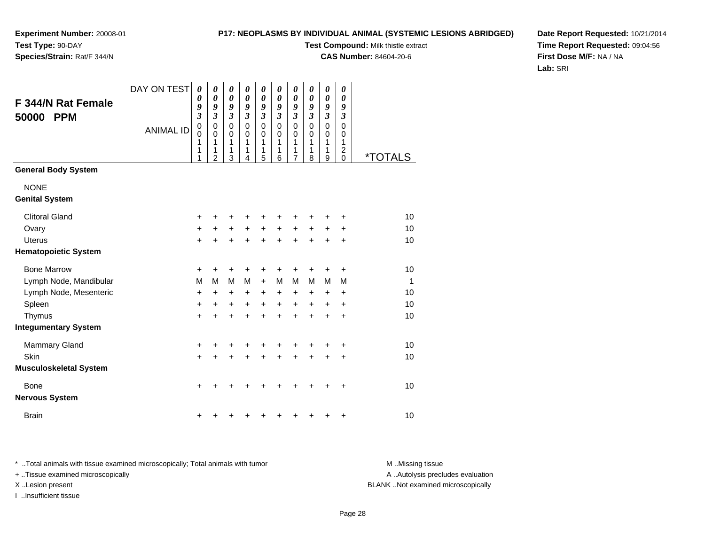# **P17: NEOPLASMS BY INDIVIDUAL ANIMAL (SYSTEMIC LESIONS ABRIDGED)**

**Test Compound:** Milk thistle extract

**CAS Number:** 84604-20-6

**Date Report Requested:** 10/21/2014**Time Report Requested:** 09:04:56**First Dose M/F:** NA / NA**Lab:** SRI

| <b>F 344/N Rat Female</b><br>50000<br><b>PPM</b> | DAY ON TEST<br><b>ANIMAL ID</b> | 0<br>0<br>9<br>$\overline{\mathbf{3}}$<br>$\mathbf 0$<br>$\mathbf 0$<br>1<br>1<br>1 | 0<br>$\boldsymbol{\theta}$<br>9<br>$\mathfrak{z}$<br>$\mathbf 0$<br>0<br>1<br>1<br>$\overline{2}$ | 0<br>$\boldsymbol{\theta}$<br>9<br>$\boldsymbol{\beta}$<br>$\mathbf 0$<br>0<br>1<br>1<br>3 | 0<br>$\boldsymbol{\theta}$<br>9<br>$\mathfrak{z}$<br>$\mathbf 0$<br>0<br>1<br>1<br>4 | 0<br>0<br>9<br>$\mathfrak{z}$<br>$\mathbf 0$<br>$\mathbf 0$<br>1<br>1<br>5 | 0<br>0<br>9<br>$\mathfrak{z}$<br>$\mathbf 0$<br>0<br>1<br>1<br>6 | 0<br>$\boldsymbol{\theta}$<br>9<br>$\boldsymbol{\beta}$<br>$\mathbf 0$<br>0<br>1<br>1<br>$\overline{7}$ | 0<br>0<br>9<br>$\boldsymbol{\beta}$<br>$\mathbf 0$<br>0<br>1<br>1<br>8 | $\pmb{\theta}$<br>$\boldsymbol{\theta}$<br>9<br>$\boldsymbol{\mathfrak{z}}$<br>$\mathbf 0$<br>0<br>1<br>1<br>9 | 0<br>0<br>9<br>3<br>$\mathsf 0$<br>0<br>1<br>$\overline{\mathbf{c}}$<br>0 | <i><b>*TOTALS</b></i> |
|--------------------------------------------------|---------------------------------|-------------------------------------------------------------------------------------|---------------------------------------------------------------------------------------------------|--------------------------------------------------------------------------------------------|--------------------------------------------------------------------------------------|----------------------------------------------------------------------------|------------------------------------------------------------------|---------------------------------------------------------------------------------------------------------|------------------------------------------------------------------------|----------------------------------------------------------------------------------------------------------------|---------------------------------------------------------------------------|-----------------------|
| <b>General Body System</b>                       |                                 |                                                                                     |                                                                                                   |                                                                                            |                                                                                      |                                                                            |                                                                  |                                                                                                         |                                                                        |                                                                                                                |                                                                           |                       |
| <b>NONE</b><br><b>Genital System</b>             |                                 |                                                                                     |                                                                                                   |                                                                                            |                                                                                      |                                                                            |                                                                  |                                                                                                         |                                                                        |                                                                                                                |                                                                           |                       |
| <b>Clitoral Gland</b>                            |                                 | +                                                                                   | +                                                                                                 |                                                                                            |                                                                                      | ٠                                                                          | +                                                                | +                                                                                                       | +                                                                      | +                                                                                                              | ٠                                                                         | 10                    |
| Ovary                                            |                                 | +                                                                                   | $\pm$                                                                                             | $\ddot{}$                                                                                  | $\ddot{}$                                                                            | $\ddot{}$                                                                  | $+$                                                              | $\ddot{}$                                                                                               | $\ddot{}$                                                              | $\ddot{}$                                                                                                      | $\ddot{}$                                                                 | 10                    |
| <b>Uterus</b>                                    |                                 | $\ddot{}$                                                                           | +                                                                                                 |                                                                                            |                                                                                      | $\ddot{}$                                                                  | $\ddot{}$                                                        | $\ddot{}$                                                                                               | $\ddot{}$                                                              | $\pm$                                                                                                          | $\ddot{}$                                                                 | 10                    |
| <b>Hematopoietic System</b>                      |                                 |                                                                                     |                                                                                                   |                                                                                            |                                                                                      |                                                                            |                                                                  |                                                                                                         |                                                                        |                                                                                                                |                                                                           |                       |
| <b>Bone Marrow</b>                               |                                 | +                                                                                   | +                                                                                                 | +                                                                                          | +                                                                                    | +                                                                          | +                                                                | +                                                                                                       | +                                                                      | +                                                                                                              | +                                                                         | 10                    |
| Lymph Node, Mandibular                           |                                 | M                                                                                   | M                                                                                                 | М                                                                                          | M                                                                                    | $\ddot{}$                                                                  | M                                                                | M                                                                                                       | M                                                                      | M                                                                                                              | М                                                                         | $\mathbf{1}$          |
| Lymph Node, Mesenteric                           |                                 | +                                                                                   | $\ddot{}$                                                                                         | $\ddot{}$                                                                                  | $\ddot{}$                                                                            | $\ddot{}$                                                                  | $\ddot{}$                                                        | $\ddot{}$                                                                                               | $\ddot{}$                                                              | +                                                                                                              | +                                                                         | 10                    |
| Spleen                                           |                                 | $\ddot{}$                                                                           | $\ddot{}$                                                                                         | $\ddot{}$                                                                                  | $\ddot{}$                                                                            | $\ddot{}$                                                                  | $\ddot{}$                                                        | $\ddot{}$                                                                                               | $\ddot{}$                                                              | $\ddot{}$                                                                                                      | $\ddot{}$                                                                 | 10                    |
| Thymus                                           |                                 | $\ddot{}$                                                                           | $\ddot{}$                                                                                         | $\ddot{}$                                                                                  | $\ddot{}$                                                                            | $\ddot{}$                                                                  | $\ddot{}$                                                        | $\ddot{}$                                                                                               | $\ddot{}$                                                              | $\ddot{}$                                                                                                      | $\ddot{}$                                                                 | 10                    |
| <b>Integumentary System</b>                      |                                 |                                                                                     |                                                                                                   |                                                                                            |                                                                                      |                                                                            |                                                                  |                                                                                                         |                                                                        |                                                                                                                |                                                                           |                       |
| <b>Mammary Gland</b>                             |                                 | +                                                                                   | +                                                                                                 | +                                                                                          | +                                                                                    | +                                                                          | +                                                                | +                                                                                                       | +                                                                      |                                                                                                                | +                                                                         | 10                    |
| Skin                                             |                                 | $\ddot{}$                                                                           | $\ddot{}$                                                                                         | $\ddot{}$                                                                                  | $\ddot{}$                                                                            | $\ddot{}$                                                                  | $\ddot{}$                                                        | $\ddot{}$                                                                                               | $\ddot{}$                                                              | $\ddot{}$                                                                                                      | $\ddot{}$                                                                 | 10                    |
| <b>Musculoskeletal System</b>                    |                                 |                                                                                     |                                                                                                   |                                                                                            |                                                                                      |                                                                            |                                                                  |                                                                                                         |                                                                        |                                                                                                                |                                                                           |                       |
| Bone<br><b>Nervous System</b>                    |                                 | $\ddot{}$                                                                           |                                                                                                   |                                                                                            |                                                                                      |                                                                            | +                                                                | +                                                                                                       |                                                                        |                                                                                                                | $\ddot{}$                                                                 | 10                    |
| <b>Brain</b>                                     |                                 | +                                                                                   |                                                                                                   |                                                                                            |                                                                                      | ٠                                                                          | +                                                                | +                                                                                                       | +                                                                      | +                                                                                                              | +                                                                         | 10                    |

\* ..Total animals with tissue examined microscopically; Total animals with tumor **M** . Missing tissue M ..Missing tissue A ..Autolysis precludes evaluation + ..Tissue examined microscopically X ..Lesion present BLANK ..Not examined microscopicallyI ..Insufficient tissue